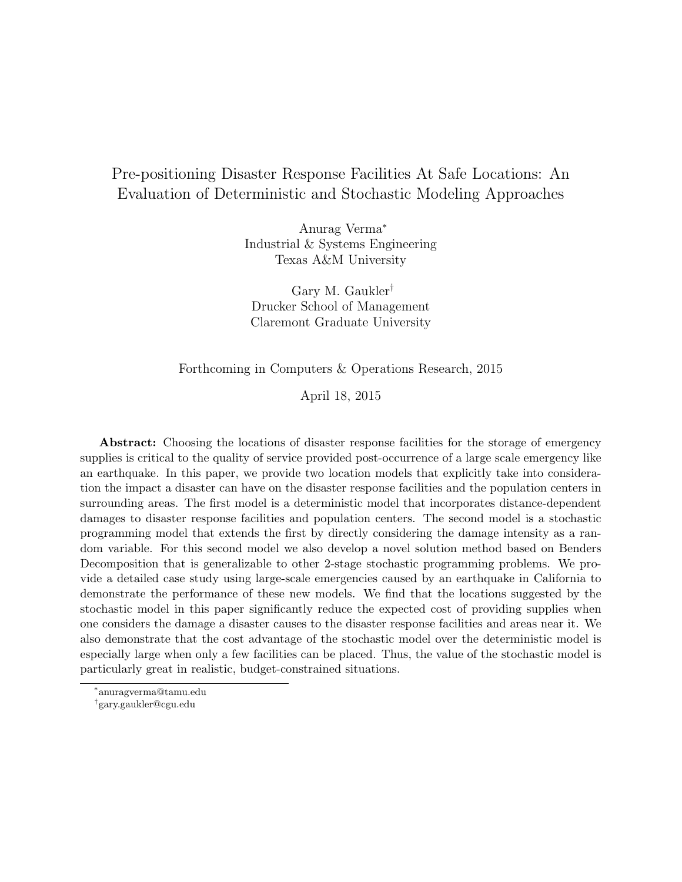# Pre-positioning Disaster Response Facilities At Safe Locations: An Evaluation of Deterministic and Stochastic Modeling Approaches

Anurag Verma<sup>∗</sup> Industrial & Systems Engineering Texas A&M University

Gary M. Gaukler† Drucker School of Management Claremont Graduate University

### Forthcoming in Computers & Operations Research, 2015

April 18, 2015

Abstract: Choosing the locations of disaster response facilities for the storage of emergency supplies is critical to the quality of service provided post-occurrence of a large scale emergency like an earthquake. In this paper, we provide two location models that explicitly take into consideration the impact a disaster can have on the disaster response facilities and the population centers in surrounding areas. The first model is a deterministic model that incorporates distance-dependent damages to disaster response facilities and population centers. The second model is a stochastic programming model that extends the first by directly considering the damage intensity as a random variable. For this second model we also develop a novel solution method based on Benders Decomposition that is generalizable to other 2-stage stochastic programming problems. We provide a detailed case study using large-scale emergencies caused by an earthquake in California to demonstrate the performance of these new models. We find that the locations suggested by the stochastic model in this paper significantly reduce the expected cost of providing supplies when one considers the damage a disaster causes to the disaster response facilities and areas near it. We also demonstrate that the cost advantage of the stochastic model over the deterministic model is especially large when only a few facilities can be placed. Thus, the value of the stochastic model is particularly great in realistic, budget-constrained situations.

<sup>∗</sup> anuragverma@tamu.edu

<sup>†</sup> gary.gaukler@cgu.edu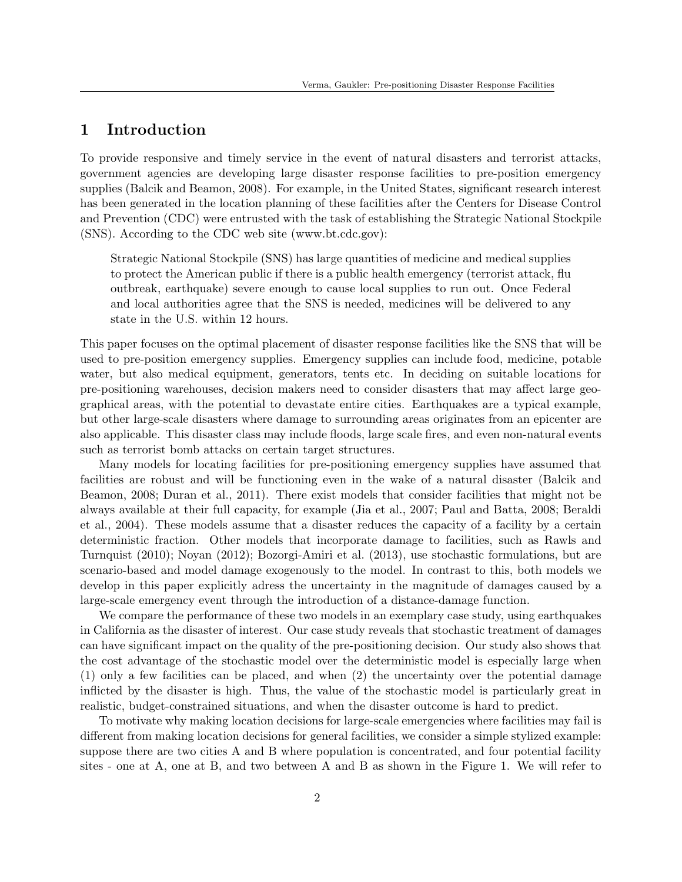# 1 Introduction

To provide responsive and timely service in the event of natural disasters and terrorist attacks, government agencies are developing large disaster response facilities to pre-position emergency supplies (Balcik and Beamon, 2008). For example, in the United States, significant research interest has been generated in the location planning of these facilities after the Centers for Disease Control and Prevention (CDC) were entrusted with the task of establishing the Strategic National Stockpile (SNS). According to the CDC web site (www.bt.cdc.gov):

Strategic National Stockpile (SNS) has large quantities of medicine and medical supplies to protect the American public if there is a public health emergency (terrorist attack, flu outbreak, earthquake) severe enough to cause local supplies to run out. Once Federal and local authorities agree that the SNS is needed, medicines will be delivered to any state in the U.S. within 12 hours.

This paper focuses on the optimal placement of disaster response facilities like the SNS that will be used to pre-position emergency supplies. Emergency supplies can include food, medicine, potable water, but also medical equipment, generators, tents etc. In deciding on suitable locations for pre-positioning warehouses, decision makers need to consider disasters that may affect large geographical areas, with the potential to devastate entire cities. Earthquakes are a typical example, but other large-scale disasters where damage to surrounding areas originates from an epicenter are also applicable. This disaster class may include floods, large scale fires, and even non-natural events such as terrorist bomb attacks on certain target structures.

Many models for locating facilities for pre-positioning emergency supplies have assumed that facilities are robust and will be functioning even in the wake of a natural disaster (Balcik and Beamon, 2008; Duran et al., 2011). There exist models that consider facilities that might not be always available at their full capacity, for example (Jia et al., 2007; Paul and Batta, 2008; Beraldi et al., 2004). These models assume that a disaster reduces the capacity of a facility by a certain deterministic fraction. Other models that incorporate damage to facilities, such as Rawls and Turnquist (2010); Noyan (2012); Bozorgi-Amiri et al. (2013), use stochastic formulations, but are scenario-based and model damage exogenously to the model. In contrast to this, both models we develop in this paper explicitly adress the uncertainty in the magnitude of damages caused by a large-scale emergency event through the introduction of a distance-damage function.

We compare the performance of these two models in an exemplary case study, using earthquakes in California as the disaster of interest. Our case study reveals that stochastic treatment of damages can have significant impact on the quality of the pre-positioning decision. Our study also shows that the cost advantage of the stochastic model over the deterministic model is especially large when (1) only a few facilities can be placed, and when (2) the uncertainty over the potential damage inflicted by the disaster is high. Thus, the value of the stochastic model is particularly great in realistic, budget-constrained situations, and when the disaster outcome is hard to predict.

To motivate why making location decisions for large-scale emergencies where facilities may fail is different from making location decisions for general facilities, we consider a simple stylized example: suppose there are two cities A and B where population is concentrated, and four potential facility sites - one at A, one at B, and two between A and B as shown in the Figure 1. We will refer to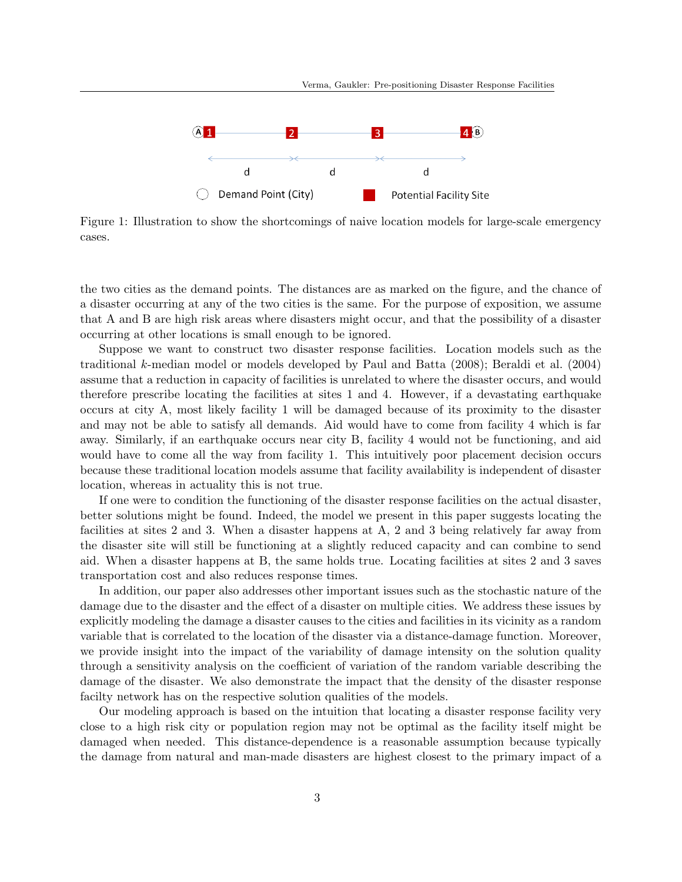

Figure 1: Illustration to show the shortcomings of naive location models for large-scale emergency cases.

the two cities as the demand points. The distances are as marked on the figure, and the chance of a disaster occurring at any of the two cities is the same. For the purpose of exposition, we assume that A and B are high risk areas where disasters might occur, and that the possibility of a disaster occurring at other locations is small enough to be ignored.

Suppose we want to construct two disaster response facilities. Location models such as the traditional k-median model or models developed by Paul and Batta (2008); Beraldi et al. (2004) assume that a reduction in capacity of facilities is unrelated to where the disaster occurs, and would therefore prescribe locating the facilities at sites 1 and 4. However, if a devastating earthquake occurs at city A, most likely facility 1 will be damaged because of its proximity to the disaster and may not be able to satisfy all demands. Aid would have to come from facility 4 which is far away. Similarly, if an earthquake occurs near city B, facility 4 would not be functioning, and aid would have to come all the way from facility 1. This intuitively poor placement decision occurs because these traditional location models assume that facility availability is independent of disaster location, whereas in actuality this is not true.

If one were to condition the functioning of the disaster response facilities on the actual disaster, better solutions might be found. Indeed, the model we present in this paper suggests locating the facilities at sites 2 and 3. When a disaster happens at A, 2 and 3 being relatively far away from the disaster site will still be functioning at a slightly reduced capacity and can combine to send aid. When a disaster happens at B, the same holds true. Locating facilities at sites 2 and 3 saves transportation cost and also reduces response times.

In addition, our paper also addresses other important issues such as the stochastic nature of the damage due to the disaster and the effect of a disaster on multiple cities. We address these issues by explicitly modeling the damage a disaster causes to the cities and facilities in its vicinity as a random variable that is correlated to the location of the disaster via a distance-damage function. Moreover, we provide insight into the impact of the variability of damage intensity on the solution quality through a sensitivity analysis on the coefficient of variation of the random variable describing the damage of the disaster. We also demonstrate the impact that the density of the disaster response facilty network has on the respective solution qualities of the models.

Our modeling approach is based on the intuition that locating a disaster response facility very close to a high risk city or population region may not be optimal as the facility itself might be damaged when needed. This distance-dependence is a reasonable assumption because typically the damage from natural and man-made disasters are highest closest to the primary impact of a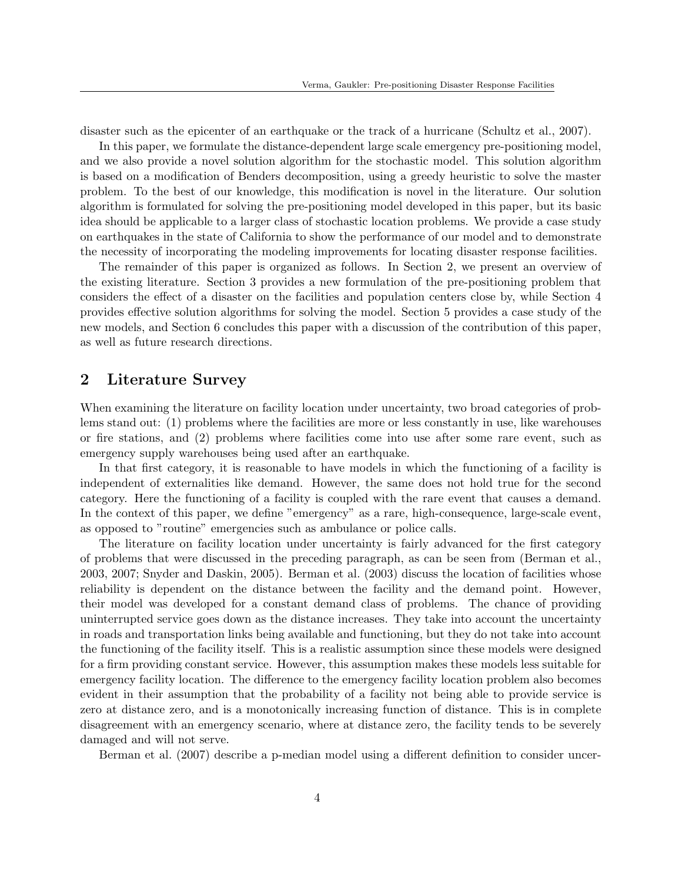disaster such as the epicenter of an earthquake or the track of a hurricane (Schultz et al., 2007).

In this paper, we formulate the distance-dependent large scale emergency pre-positioning model, and we also provide a novel solution algorithm for the stochastic model. This solution algorithm is based on a modification of Benders decomposition, using a greedy heuristic to solve the master problem. To the best of our knowledge, this modification is novel in the literature. Our solution algorithm is formulated for solving the pre-positioning model developed in this paper, but its basic idea should be applicable to a larger class of stochastic location problems. We provide a case study on earthquakes in the state of California to show the performance of our model and to demonstrate the necessity of incorporating the modeling improvements for locating disaster response facilities.

The remainder of this paper is organized as follows. In Section 2, we present an overview of the existing literature. Section 3 provides a new formulation of the pre-positioning problem that considers the effect of a disaster on the facilities and population centers close by, while Section 4 provides effective solution algorithms for solving the model. Section 5 provides a case study of the new models, and Section 6 concludes this paper with a discussion of the contribution of this paper, as well as future research directions.

## 2 Literature Survey

When examining the literature on facility location under uncertainty, two broad categories of problems stand out: (1) problems where the facilities are more or less constantly in use, like warehouses or fire stations, and (2) problems where facilities come into use after some rare event, such as emergency supply warehouses being used after an earthquake.

In that first category, it is reasonable to have models in which the functioning of a facility is independent of externalities like demand. However, the same does not hold true for the second category. Here the functioning of a facility is coupled with the rare event that causes a demand. In the context of this paper, we define "emergency" as a rare, high-consequence, large-scale event, as opposed to "routine" emergencies such as ambulance or police calls.

The literature on facility location under uncertainty is fairly advanced for the first category of problems that were discussed in the preceding paragraph, as can be seen from (Berman et al., 2003, 2007; Snyder and Daskin, 2005). Berman et al. (2003) discuss the location of facilities whose reliability is dependent on the distance between the facility and the demand point. However, their model was developed for a constant demand class of problems. The chance of providing uninterrupted service goes down as the distance increases. They take into account the uncertainty in roads and transportation links being available and functioning, but they do not take into account the functioning of the facility itself. This is a realistic assumption since these models were designed for a firm providing constant service. However, this assumption makes these models less suitable for emergency facility location. The difference to the emergency facility location problem also becomes evident in their assumption that the probability of a facility not being able to provide service is zero at distance zero, and is a monotonically increasing function of distance. This is in complete disagreement with an emergency scenario, where at distance zero, the facility tends to be severely damaged and will not serve.

Berman et al. (2007) describe a p-median model using a different definition to consider uncer-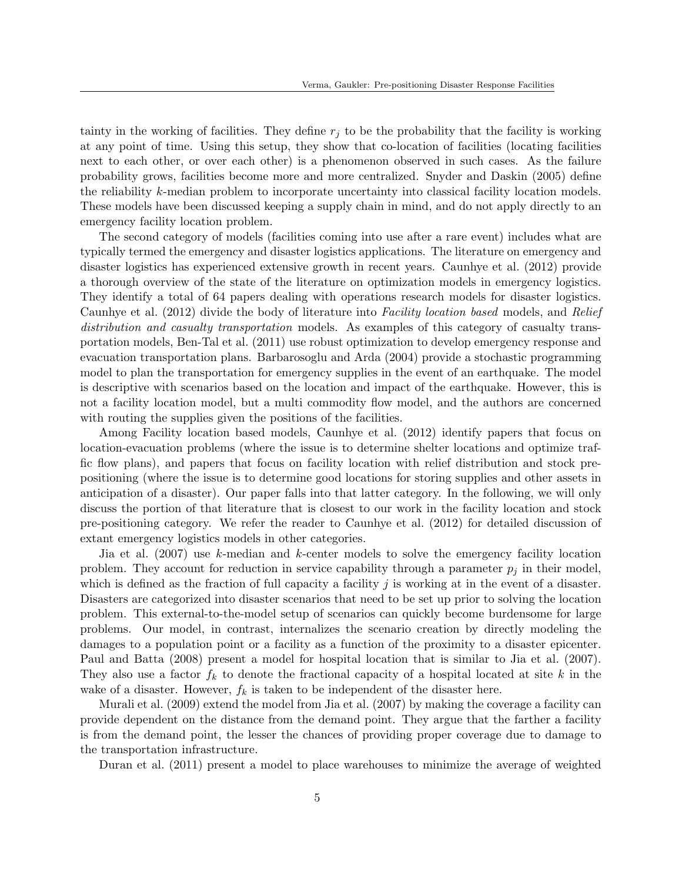tainty in the working of facilities. They define  $r_j$  to be the probability that the facility is working at any point of time. Using this setup, they show that co-location of facilities (locating facilities next to each other, or over each other) is a phenomenon observed in such cases. As the failure probability grows, facilities become more and more centralized. Snyder and Daskin (2005) define the reliability k-median problem to incorporate uncertainty into classical facility location models. These models have been discussed keeping a supply chain in mind, and do not apply directly to an emergency facility location problem.

The second category of models (facilities coming into use after a rare event) includes what are typically termed the emergency and disaster logistics applications. The literature on emergency and disaster logistics has experienced extensive growth in recent years. Caunhye et al. (2012) provide a thorough overview of the state of the literature on optimization models in emergency logistics. They identify a total of 64 papers dealing with operations research models for disaster logistics. Caunhye et al. (2012) divide the body of literature into Facility location based models, and Relief distribution and casualty transportation models. As examples of this category of casualty transportation models, Ben-Tal et al. (2011) use robust optimization to develop emergency response and evacuation transportation plans. Barbarosoglu and Arda (2004) provide a stochastic programming model to plan the transportation for emergency supplies in the event of an earthquake. The model is descriptive with scenarios based on the location and impact of the earthquake. However, this is not a facility location model, but a multi commodity flow model, and the authors are concerned with routing the supplies given the positions of the facilities.

Among Facility location based models, Caunhye et al. (2012) identify papers that focus on location-evacuation problems (where the issue is to determine shelter locations and optimize traffic flow plans), and papers that focus on facility location with relief distribution and stock prepositioning (where the issue is to determine good locations for storing supplies and other assets in anticipation of a disaster). Our paper falls into that latter category. In the following, we will only discuss the portion of that literature that is closest to our work in the facility location and stock pre-positioning category. We refer the reader to Caunhye et al. (2012) for detailed discussion of extant emergency logistics models in other categories.

Jia et al. (2007) use k-median and k-center models to solve the emergency facility location problem. They account for reduction in service capability through a parameter  $p_j$  in their model, which is defined as the fraction of full capacity a facility  $j$  is working at in the event of a disaster. Disasters are categorized into disaster scenarios that need to be set up prior to solving the location problem. This external-to-the-model setup of scenarios can quickly become burdensome for large problems. Our model, in contrast, internalizes the scenario creation by directly modeling the damages to a population point or a facility as a function of the proximity to a disaster epicenter. Paul and Batta (2008) present a model for hospital location that is similar to Jia et al. (2007). They also use a factor  $f_k$  to denote the fractional capacity of a hospital located at site k in the wake of a disaster. However,  $f_k$  is taken to be independent of the disaster here.

Murali et al. (2009) extend the model from Jia et al. (2007) by making the coverage a facility can provide dependent on the distance from the demand point. They argue that the farther a facility is from the demand point, the lesser the chances of providing proper coverage due to damage to the transportation infrastructure.

Duran et al. (2011) present a model to place warehouses to minimize the average of weighted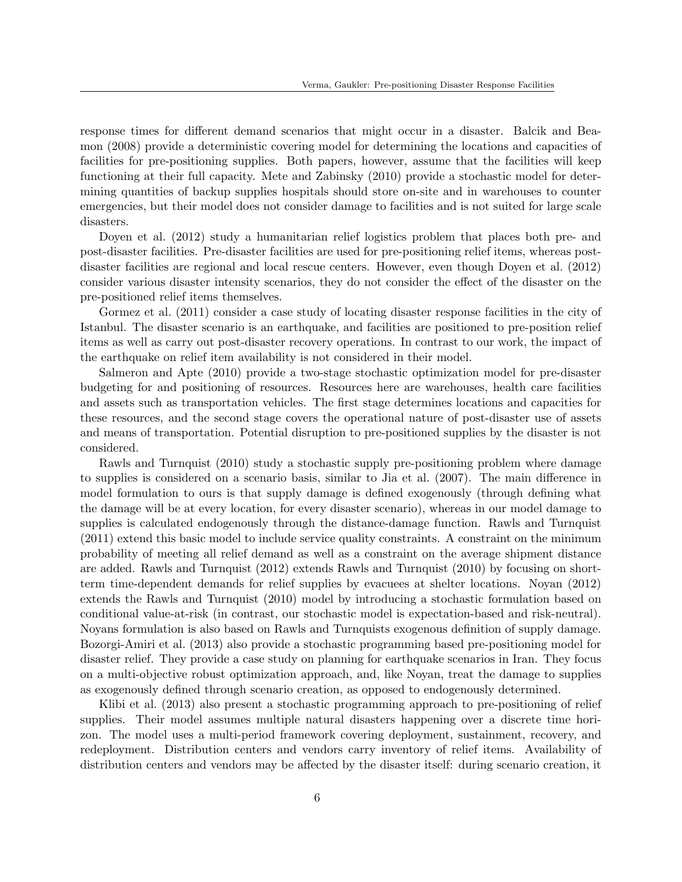response times for different demand scenarios that might occur in a disaster. Balcik and Beamon (2008) provide a deterministic covering model for determining the locations and capacities of facilities for pre-positioning supplies. Both papers, however, assume that the facilities will keep functioning at their full capacity. Mete and Zabinsky (2010) provide a stochastic model for determining quantities of backup supplies hospitals should store on-site and in warehouses to counter emergencies, but their model does not consider damage to facilities and is not suited for large scale disasters.

Doyen et al. (2012) study a humanitarian relief logistics problem that places both pre- and post-disaster facilities. Pre-disaster facilities are used for pre-positioning relief items, whereas postdisaster facilities are regional and local rescue centers. However, even though Doyen et al. (2012) consider various disaster intensity scenarios, they do not consider the effect of the disaster on the pre-positioned relief items themselves.

Gormez et al. (2011) consider a case study of locating disaster response facilities in the city of Istanbul. The disaster scenario is an earthquake, and facilities are positioned to pre-position relief items as well as carry out post-disaster recovery operations. In contrast to our work, the impact of the earthquake on relief item availability is not considered in their model.

Salmeron and Apte (2010) provide a two-stage stochastic optimization model for pre-disaster budgeting for and positioning of resources. Resources here are warehouses, health care facilities and assets such as transportation vehicles. The first stage determines locations and capacities for these resources, and the second stage covers the operational nature of post-disaster use of assets and means of transportation. Potential disruption to pre-positioned supplies by the disaster is not considered.

Rawls and Turnquist (2010) study a stochastic supply pre-positioning problem where damage to supplies is considered on a scenario basis, similar to Jia et al. (2007). The main difference in model formulation to ours is that supply damage is defined exogenously (through defining what the damage will be at every location, for every disaster scenario), whereas in our model damage to supplies is calculated endogenously through the distance-damage function. Rawls and Turnquist (2011) extend this basic model to include service quality constraints. A constraint on the minimum probability of meeting all relief demand as well as a constraint on the average shipment distance are added. Rawls and Turnquist (2012) extends Rawls and Turnquist (2010) by focusing on shortterm time-dependent demands for relief supplies by evacuees at shelter locations. Noyan (2012) extends the Rawls and Turnquist (2010) model by introducing a stochastic formulation based on conditional value-at-risk (in contrast, our stochastic model is expectation-based and risk-neutral). Noyans formulation is also based on Rawls and Turnquists exogenous definition of supply damage. Bozorgi-Amiri et al. (2013) also provide a stochastic programming based pre-positioning model for disaster relief. They provide a case study on planning for earthquake scenarios in Iran. They focus on a multi-objective robust optimization approach, and, like Noyan, treat the damage to supplies as exogenously defined through scenario creation, as opposed to endogenously determined.

Klibi et al. (2013) also present a stochastic programming approach to pre-positioning of relief supplies. Their model assumes multiple natural disasters happening over a discrete time horizon. The model uses a multi-period framework covering deployment, sustainment, recovery, and redeployment. Distribution centers and vendors carry inventory of relief items. Availability of distribution centers and vendors may be affected by the disaster itself: during scenario creation, it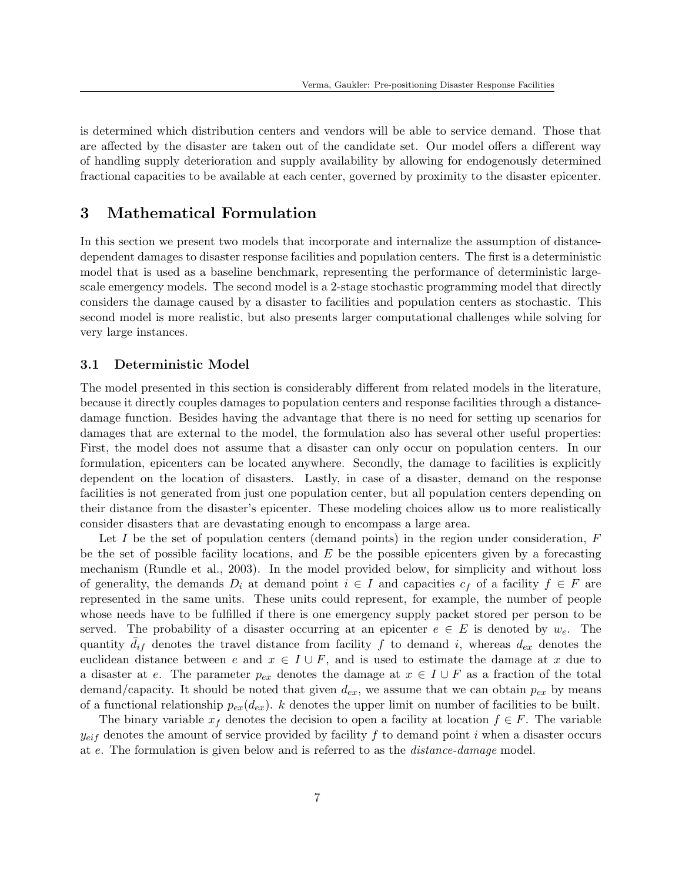is determined which distribution centers and vendors will be able to service demand. Those that are affected by the disaster are taken out of the candidate set. Our model offers a different way of handling supply deterioration and supply availability by allowing for endogenously determined fractional capacities to be available at each center, governed by proximity to the disaster epicenter.

# 3 Mathematical Formulation

In this section we present two models that incorporate and internalize the assumption of distancedependent damages to disaster response facilities and population centers. The first is a deterministic model that is used as a baseline benchmark, representing the performance of deterministic largescale emergency models. The second model is a 2-stage stochastic programming model that directly considers the damage caused by a disaster to facilities and population centers as stochastic. This second model is more realistic, but also presents larger computational challenges while solving for very large instances.

### 3.1 Deterministic Model

The model presented in this section is considerably different from related models in the literature, because it directly couples damages to population centers and response facilities through a distancedamage function. Besides having the advantage that there is no need for setting up scenarios for damages that are external to the model, the formulation also has several other useful properties: First, the model does not assume that a disaster can only occur on population centers. In our formulation, epicenters can be located anywhere. Secondly, the damage to facilities is explicitly dependent on the location of disasters. Lastly, in case of a disaster, demand on the response facilities is not generated from just one population center, but all population centers depending on their distance from the disaster's epicenter. These modeling choices allow us to more realistically consider disasters that are devastating enough to encompass a large area.

Let I be the set of population centers (demand points) in the region under consideration,  $F$ be the set of possible facility locations, and  $E$  be the possible epicenters given by a forecasting mechanism (Rundle et al., 2003). In the model provided below, for simplicity and without loss of generality, the demands  $D_i$  at demand point  $i \in I$  and capacities  $c_f$  of a facility  $f \in F$  are represented in the same units. These units could represent, for example, the number of people whose needs have to be fulfilled if there is one emergency supply packet stored per person to be served. The probability of a disaster occurring at an epicenter  $e \in E$  is denoted by  $w_e$ . The quantity  $\bar{d}_{if}$  denotes the travel distance from facility f to demand i, whereas  $d_{ex}$  denotes the euclidean distance between e and  $x \in I \cup F$ , and is used to estimate the damage at x due to a disaster at e. The parameter  $p_{ex}$  denotes the damage at  $x \in I \cup F$  as a fraction of the total demand/capacity. It should be noted that given  $d_{ex}$ , we assume that we can obtain  $p_{ex}$  by means of a functional relationship  $p_{ex}(d_{ex})$ . k denotes the upper limit on number of facilities to be built.

The binary variable  $x_f$  denotes the decision to open a facility at location  $f \in F$ . The variable  $y_{eif}$  denotes the amount of service provided by facility f to demand point i when a disaster occurs at e. The formulation is given below and is referred to as the distance-damage model.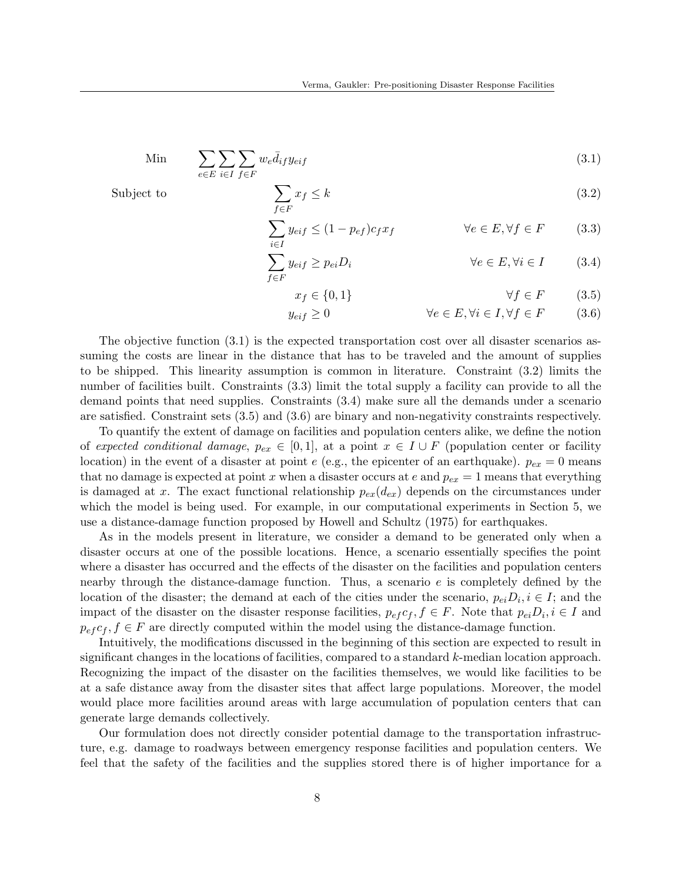$$
\text{Min} \qquad \sum_{e \in E} \sum_{i \in I} \sum_{f \in F} w_e \bar{d}_{if} y_{eif} \tag{3.1}
$$

Subject to

$$
\sum_{f \in F} x_f \le k \tag{3.2}
$$

$$
\sum_{i \in I} y_{eif} \le (1 - p_{ef}) c_f x_f \qquad \forall e \in E, \forall f \in F \qquad (3.3)
$$

$$
\sum_{f \in F} y_{ei} f \ge p_{ei} D_i \qquad \forall e \in E, \forall i \in I \qquad (3.4)
$$

$$
x_f \in \{0, 1\} \qquad \forall f \in F \qquad (3.5)
$$

$$
y_{\text{eif}} \ge 0 \qquad \qquad \forall e \in E, \forall i \in I, \forall f \in F \qquad (3.6)
$$

The objective function (3.1) is the expected transportation cost over all disaster scenarios assuming the costs are linear in the distance that has to be traveled and the amount of supplies to be shipped. This linearity assumption is common in literature. Constraint (3.2) limits the number of facilities built. Constraints (3.3) limit the total supply a facility can provide to all the demand points that need supplies. Constraints (3.4) make sure all the demands under a scenario are satisfied. Constraint sets (3.5) and (3.6) are binary and non-negativity constraints respectively.

To quantify the extent of damage on facilities and population centers alike, we define the notion of expected conditional damage,  $p_{ex} \in [0,1]$ , at a point  $x \in I \cup F$  (population center or facility location) in the event of a disaster at point e (e.g., the epicenter of an earthquake).  $p_{ex} = 0$  means that no damage is expected at point x when a disaster occurs at e and  $p_{ex} = 1$  means that everything is damaged at x. The exact functional relationship  $p_{ex}(d_{ex})$  depends on the circumstances under which the model is being used. For example, in our computational experiments in Section 5, we use a distance-damage function proposed by Howell and Schultz (1975) for earthquakes.

As in the models present in literature, we consider a demand to be generated only when a disaster occurs at one of the possible locations. Hence, a scenario essentially specifies the point where a disaster has occurred and the effects of the disaster on the facilities and population centers nearby through the distance-damage function. Thus, a scenario  $e$  is completely defined by the location of the disaster; the demand at each of the cities under the scenario,  $p_{ei}D_i$ ,  $i \in I$ ; and the impact of the disaster on the disaster response facilities,  $p_{ef}c_f$ ,  $f \in F$ . Note that  $p_{ei}D_i$ ,  $i \in I$  and  $p_{ef} c_f, f \in F$  are directly computed within the model using the distance-damage function.

Intuitively, the modifications discussed in the beginning of this section are expected to result in significant changes in the locations of facilities, compared to a standard k-median location approach. Recognizing the impact of the disaster on the facilities themselves, we would like facilities to be at a safe distance away from the disaster sites that affect large populations. Moreover, the model would place more facilities around areas with large accumulation of population centers that can generate large demands collectively.

Our formulation does not directly consider potential damage to the transportation infrastructure, e.g. damage to roadways between emergency response facilities and population centers. We feel that the safety of the facilities and the supplies stored there is of higher importance for a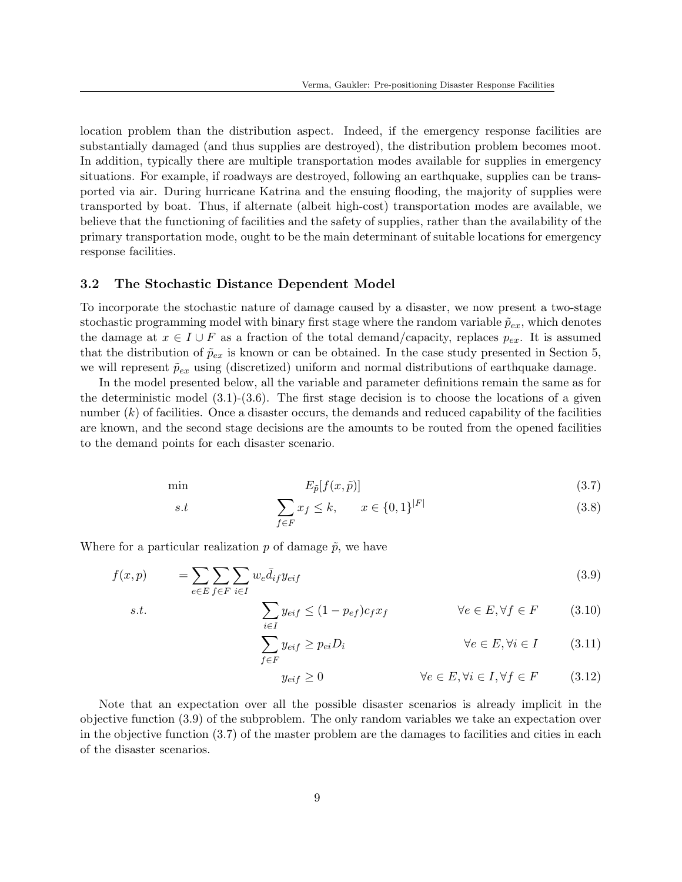location problem than the distribution aspect. Indeed, if the emergency response facilities are substantially damaged (and thus supplies are destroyed), the distribution problem becomes moot. In addition, typically there are multiple transportation modes available for supplies in emergency situations. For example, if roadways are destroyed, following an earthquake, supplies can be transported via air. During hurricane Katrina and the ensuing flooding, the majority of supplies were transported by boat. Thus, if alternate (albeit high-cost) transportation modes are available, we believe that the functioning of facilities and the safety of supplies, rather than the availability of the primary transportation mode, ought to be the main determinant of suitable locations for emergency response facilities.

### 3.2 The Stochastic Distance Dependent Model

To incorporate the stochastic nature of damage caused by a disaster, we now present a two-stage stochastic programming model with binary first stage where the random variable  $\tilde{p}_{ex}$ , which denotes the damage at  $x \in I \cup F$  as a fraction of the total demand/capacity, replaces  $p_{ex}$ . It is assumed that the distribution of  $\tilde{p}_{ex}$  is known or can be obtained. In the case study presented in Section 5, we will represent  $\tilde{p}_{ex}$  using (discretized) uniform and normal distributions of earthquake damage.

In the model presented below, all the variable and parameter definitions remain the same as for the deterministic model  $(3.1)-(3.6)$ . The first stage decision is to choose the locations of a given number  $(k)$  of facilities. Once a disaster occurs, the demands and reduced capability of the facilities are known, and the second stage decisions are the amounts to be routed from the opened facilities to the demand points for each disaster scenario.

$$
\min \qquad \qquad E_{\tilde{p}}[f(x,\tilde{p})] \tag{3.7}
$$

$$
s.t \qquad \sum_{f \in F} x_f \le k, \qquad x \in \{0, 1\}^{|F|} \tag{3.8}
$$

Where for a particular realization p of damage  $\tilde{p}$ , we have

$$
f(x,p) = \sum_{e \in E} \sum_{f \in F} \sum_{i \in I} w_e \bar{d}_{if} y_{ei} \tag{3.9}
$$

s.t. 
$$
\sum_{i \in I} y_{eif} \le (1 - p_{ef}) c_f x_f \qquad \forall e \in E, \forall f \in F \qquad (3.10)
$$

$$
\sum_{f \in F} y_{ei} f \ge p_{ei} D_i \qquad \forall e \in E, \forall i \in I \qquad (3.11)
$$

$$
y_{\text{eif}} \ge 0 \qquad \qquad \forall e \in E, \forall i \in I, \forall f \in F \qquad (3.12)
$$

Note that an expectation over all the possible disaster scenarios is already implicit in the objective function (3.9) of the subproblem. The only random variables we take an expectation over in the objective function (3.7) of the master problem are the damages to facilities and cities in each of the disaster scenarios.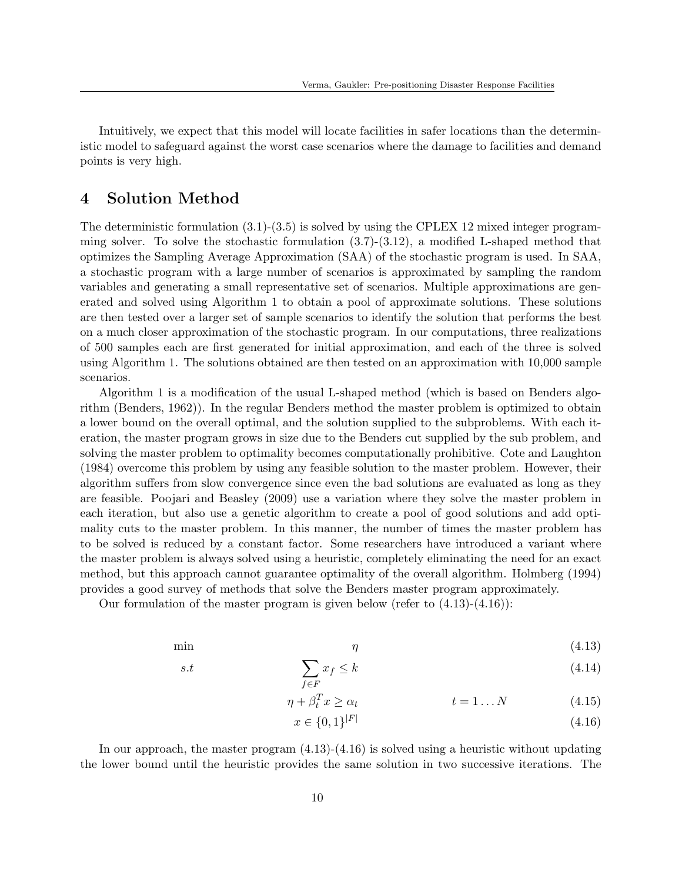Intuitively, we expect that this model will locate facilities in safer locations than the deterministic model to safeguard against the worst case scenarios where the damage to facilities and demand points is very high.

# 4 Solution Method

The deterministic formulation (3.1)-(3.5) is solved by using the CPLEX 12 mixed integer programming solver. To solve the stochastic formulation  $(3.7)-(3.12)$ , a modified L-shaped method that optimizes the Sampling Average Approximation (SAA) of the stochastic program is used. In SAA, a stochastic program with a large number of scenarios is approximated by sampling the random variables and generating a small representative set of scenarios. Multiple approximations are generated and solved using Algorithm 1 to obtain a pool of approximate solutions. These solutions are then tested over a larger set of sample scenarios to identify the solution that performs the best on a much closer approximation of the stochastic program. In our computations, three realizations of 500 samples each are first generated for initial approximation, and each of the three is solved using Algorithm 1. The solutions obtained are then tested on an approximation with 10,000 sample scenarios.

Algorithm 1 is a modification of the usual L-shaped method (which is based on Benders algorithm (Benders, 1962)). In the regular Benders method the master problem is optimized to obtain a lower bound on the overall optimal, and the solution supplied to the subproblems. With each iteration, the master program grows in size due to the Benders cut supplied by the sub problem, and solving the master problem to optimality becomes computationally prohibitive. Cote and Laughton (1984) overcome this problem by using any feasible solution to the master problem. However, their algorithm suffers from slow convergence since even the bad solutions are evaluated as long as they are feasible. Poojari and Beasley (2009) use a variation where they solve the master problem in each iteration, but also use a genetic algorithm to create a pool of good solutions and add optimality cuts to the master problem. In this manner, the number of times the master problem has to be solved is reduced by a constant factor. Some researchers have introduced a variant where the master problem is always solved using a heuristic, completely eliminating the need for an exact method, but this approach cannot guarantee optimality of the overall algorithm. Holmberg (1994) provides a good survey of methods that solve the Benders master program approximately.

Our formulation of the master program is given below (refer to  $(4.13)-(4.16)$ ):

$$
\eta \tag{4.13}
$$

$$
t^{\frac{1}{2}}
$$

$$
s.t \qquad \sum_{f \in F} x_f \le k \tag{4.14}
$$

$$
\eta + \beta_t^T x \ge \alpha_t \qquad \qquad t = 1 \dots N \tag{4.15}
$$

$$
x \in \{0, 1\}^{|F|} \tag{4.16}
$$

In our approach, the master program  $(4.13)-(4.16)$  is solved using a heuristic without updating the lower bound until the heuristic provides the same solution in two successive iterations. The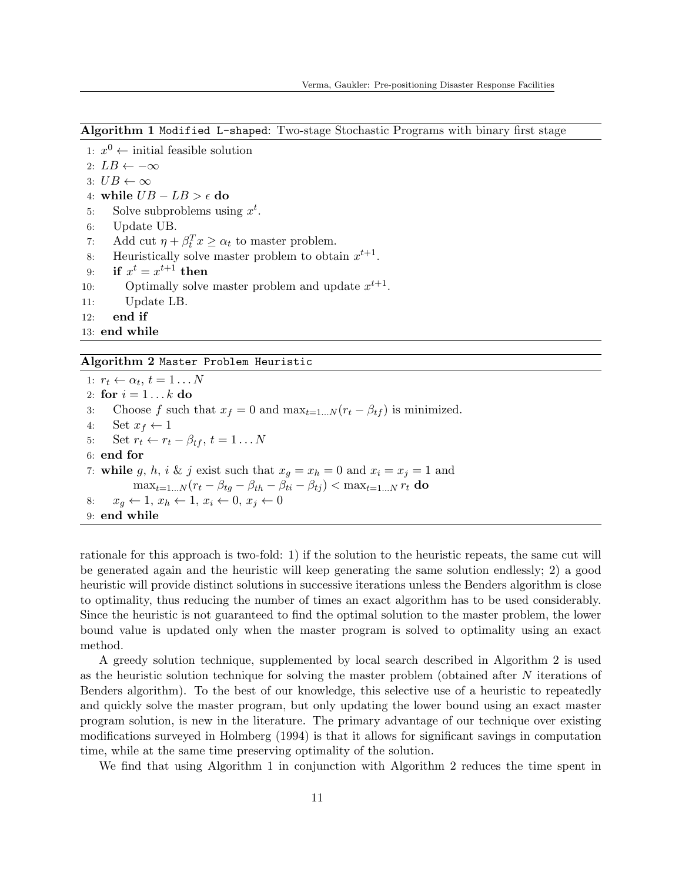Algorithm 1 Modified L-shaped: Two-stage Stochastic Programs with binary first stage

1:  $x^0$  ← initial feasible solution 2:  $LB \leftarrow -\infty$ 3:  $UB \leftarrow \infty$ 4: while  $UB - LB > ε$  do 5: Solve subproblems using  $x^t$ . 6: Update UB. 7: Add cut  $\eta + \beta_t^T x \ge \alpha_t$  to master problem. 8: Heuristically solve master problem to obtain  $x^{t+1}$ . 9: if  $x^t = x^{t+1}$  then 10: Optimally solve master problem and update  $x^{t+1}$ . 11: Update LB. 12: end if 13: end while

Algorithm 2 Master Problem Heuristic

1:  $r_t \leftarrow \alpha_t, t = 1 \dots N$ 2: for  $i = 1...k$  do 3: Choose f such that  $x_f = 0$  and  $\max_{t=1...N} (r_t - \beta_{tf})$  is minimized. 4: Set  $x_f \leftarrow 1$ 5: Set  $r_t \leftarrow r_t - \beta_{tf}, t = 1...N$ 6: end for 7: while g, h, i & j exist such that  $x_q = x_h = 0$  and  $x_i = x_j = 1$  and  $\max_{t=1...N} (r_t - \beta_{tg} - \beta_{th} - \beta_{ti} - \beta_{tj}) < \max_{t=1...N} r_t$ do 8:  $x_q \leftarrow 1, x_h \leftarrow 1, x_i \leftarrow 0, x_j \leftarrow 0$ 9: end while

rationale for this approach is two-fold: 1) if the solution to the heuristic repeats, the same cut will be generated again and the heuristic will keep generating the same solution endlessly; 2) a good heuristic will provide distinct solutions in successive iterations unless the Benders algorithm is close to optimality, thus reducing the number of times an exact algorithm has to be used considerably. Since the heuristic is not guaranteed to find the optimal solution to the master problem, the lower bound value is updated only when the master program is solved to optimality using an exact method.

A greedy solution technique, supplemented by local search described in Algorithm 2 is used as the heuristic solution technique for solving the master problem (obtained after N iterations of Benders algorithm). To the best of our knowledge, this selective use of a heuristic to repeatedly and quickly solve the master program, but only updating the lower bound using an exact master program solution, is new in the literature. The primary advantage of our technique over existing modifications surveyed in Holmberg (1994) is that it allows for significant savings in computation time, while at the same time preserving optimality of the solution.

We find that using Algorithm 1 in conjunction with Algorithm 2 reduces the time spent in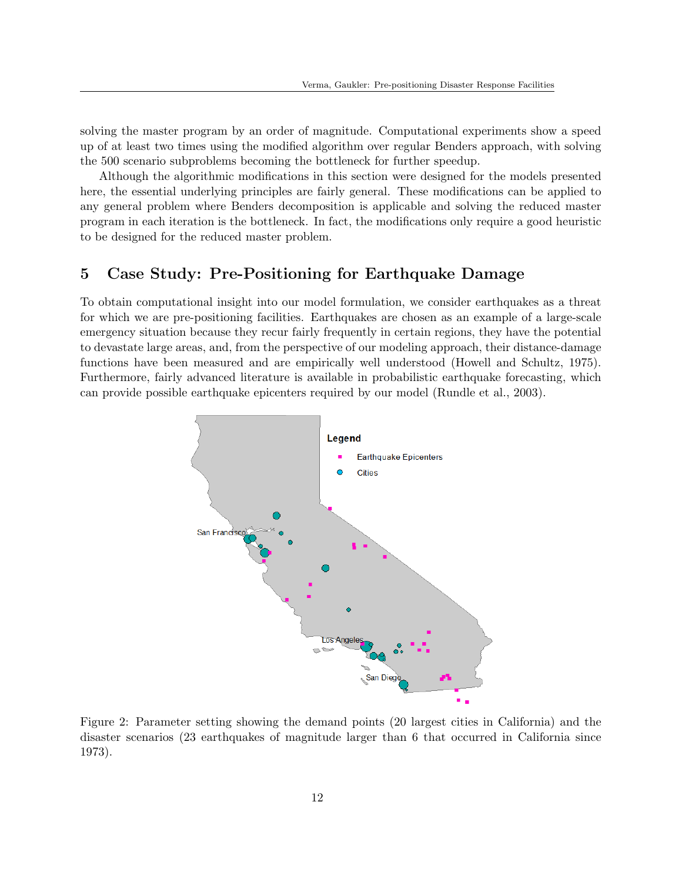solving the master program by an order of magnitude. Computational experiments show a speed up of at least two times using the modified algorithm over regular Benders approach, with solving the 500 scenario subproblems becoming the bottleneck for further speedup.

Although the algorithmic modifications in this section were designed for the models presented here, the essential underlying principles are fairly general. These modifications can be applied to any general problem where Benders decomposition is applicable and solving the reduced master program in each iteration is the bottleneck. In fact, the modifications only require a good heuristic to be designed for the reduced master problem.

# 5 Case Study: Pre-Positioning for Earthquake Damage

To obtain computational insight into our model formulation, we consider earthquakes as a threat for which we are pre-positioning facilities. Earthquakes are chosen as an example of a large-scale emergency situation because they recur fairly frequently in certain regions, they have the potential to devastate large areas, and, from the perspective of our modeling approach, their distance-damage functions have been measured and are empirically well understood (Howell and Schultz, 1975). Furthermore, fairly advanced literature is available in probabilistic earthquake forecasting, which can provide possible earthquake epicenters required by our model (Rundle et al., 2003).



Figure 2: Parameter setting showing the demand points (20 largest cities in California) and the disaster scenarios (23 earthquakes of magnitude larger than 6 that occurred in California since 1973).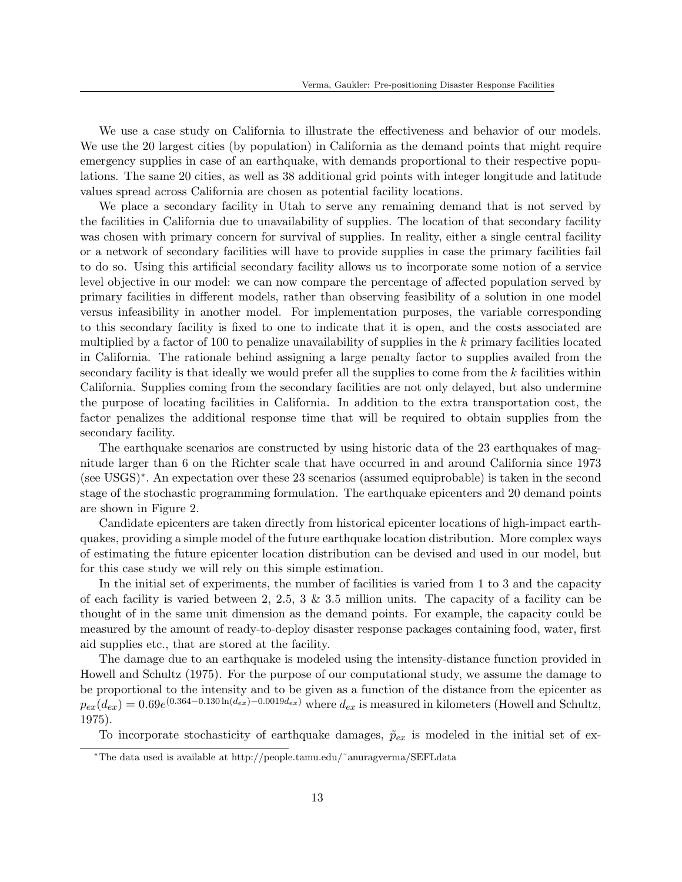We use a case study on California to illustrate the effectiveness and behavior of our models. We use the 20 largest cities (by population) in California as the demand points that might require emergency supplies in case of an earthquake, with demands proportional to their respective populations. The same 20 cities, as well as 38 additional grid points with integer longitude and latitude values spread across California are chosen as potential facility locations.

We place a secondary facility in Utah to serve any remaining demand that is not served by the facilities in California due to unavailability of supplies. The location of that secondary facility was chosen with primary concern for survival of supplies. In reality, either a single central facility or a network of secondary facilities will have to provide supplies in case the primary facilities fail to do so. Using this artificial secondary facility allows us to incorporate some notion of a service level objective in our model: we can now compare the percentage of affected population served by primary facilities in different models, rather than observing feasibility of a solution in one model versus infeasibility in another model. For implementation purposes, the variable corresponding to this secondary facility is fixed to one to indicate that it is open, and the costs associated are multiplied by a factor of 100 to penalize unavailability of supplies in the k primary facilities located in California. The rationale behind assigning a large penalty factor to supplies availed from the secondary facility is that ideally we would prefer all the supplies to come from the  $k$  facilities within California. Supplies coming from the secondary facilities are not only delayed, but also undermine the purpose of locating facilities in California. In addition to the extra transportation cost, the factor penalizes the additional response time that will be required to obtain supplies from the secondary facility.

The earthquake scenarios are constructed by using historic data of the 23 earthquakes of magnitude larger than 6 on the Richter scale that have occurred in and around California since 1973 (see USGS)<sup>∗</sup> . An expectation over these 23 scenarios (assumed equiprobable) is taken in the second stage of the stochastic programming formulation. The earthquake epicenters and 20 demand points are shown in Figure 2.

Candidate epicenters are taken directly from historical epicenter locations of high-impact earthquakes, providing a simple model of the future earthquake location distribution. More complex ways of estimating the future epicenter location distribution can be devised and used in our model, but for this case study we will rely on this simple estimation.

In the initial set of experiments, the number of facilities is varied from 1 to 3 and the capacity of each facility is varied between 2, 2.5, 3  $\&$  3.5 million units. The capacity of a facility can be thought of in the same unit dimension as the demand points. For example, the capacity could be measured by the amount of ready-to-deploy disaster response packages containing food, water, first aid supplies etc., that are stored at the facility.

The damage due to an earthquake is modeled using the intensity-distance function provided in Howell and Schultz (1975). For the purpose of our computational study, we assume the damage to be proportional to the intensity and to be given as a function of the distance from the epicenter as  $p_{ex}(d_{ex}) = 0.69e^{(0.364 - 0.130 \ln(d_{ex}) - 0.0019d_{ex})}$  where  $d_{ex}$  is measured in kilometers (Howell and Schultz, 1975).

To incorporate stochasticity of earthquake damages,  $\tilde{p}_{ex}$  is modeled in the initial set of ex-

<sup>∗</sup>The data used is available at http://people.tamu.edu/˜anuragverma/SEFLdata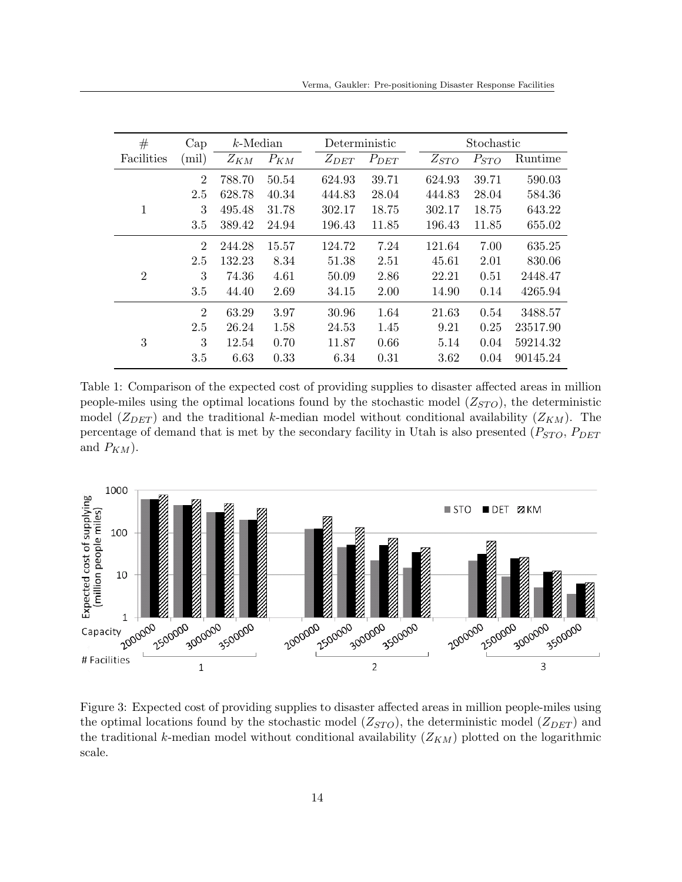| #              | Cap            | $k$ -Median |          |           | Deterministic |           | Stochastic |          |  |
|----------------|----------------|-------------|----------|-----------|---------------|-----------|------------|----------|--|
| Facilities     | $\text{(mil)}$ | $Z_{KM}$    | $P_{KM}$ | $Z_{DET}$ | $P_{DET}$     | $Z_{STO}$ | $P_{STO}$  | Runtime  |  |
|                | $\overline{2}$ | 788.70      | 50.54    | 624.93    | 39.71         | 624.93    | 39.71      | 590.03   |  |
|                | 2.5            | 628.78      | 40.34    | 444.83    | 28.04         | 444.83    | 28.04      | 584.36   |  |
| 1              | 3              | 495.48      | 31.78    | 302.17    | 18.75         | 302.17    | 18.75      | 643.22   |  |
|                | 3.5            | 389.42      | 24.94    | 196.43    | 11.85         | 196.43    | 11.85      | 655.02   |  |
|                | $\overline{2}$ | 244.28      | 15.57    | 124.72    | 7.24          | 121.64    | 7.00       | 635.25   |  |
|                | 2.5            | 132.23      | 8.34     | 51.38     | 2.51          | 45.61     | 2.01       | 830.06   |  |
| $\overline{2}$ | 3              | 74.36       | 4.61     | 50.09     | 2.86          | 22.21     | 0.51       | 2448.47  |  |
|                | 3.5            | 44.40       | 2.69     | 34.15     | 2.00          | 14.90     | 0.14       | 4265.94  |  |
|                | $\overline{2}$ | 63.29       | 3.97     | 30.96     | 1.64          | 21.63     | 0.54       | 3488.57  |  |
|                | 2.5            | 26.24       | 1.58     | 24.53     | 1.45          | 9.21      | 0.25       | 23517.90 |  |
| 3              | 3              | 12.54       | 0.70     | 11.87     | 0.66          | 5.14      | 0.04       | 59214.32 |  |
|                | 3.5            | 6.63        | 0.33     | 6.34      | 0.31          | 3.62      | 0.04       | 90145.24 |  |

Table 1: Comparison of the expected cost of providing supplies to disaster affected areas in million people-miles using the optimal locations found by the stochastic model  $(Z<sub>STO</sub>)$ , the deterministic model  $(Z_{DET})$  and the traditional k-median model without conditional availability  $(Z_{KM})$ . The percentage of demand that is met by the secondary facility in Utah is also presented  $(P<sub>STO</sub>, P<sub>DET</sub>)$ and  $P_{KM}$ ).



Figure 3: Expected cost of providing supplies to disaster affected areas in million people-miles using the optimal locations found by the stochastic model  $(Z_{STO})$ , the deterministic model  $(Z_{DET})$  and the traditional k-median model without conditional availability  $(Z_{KM})$  plotted on the logarithmic scale.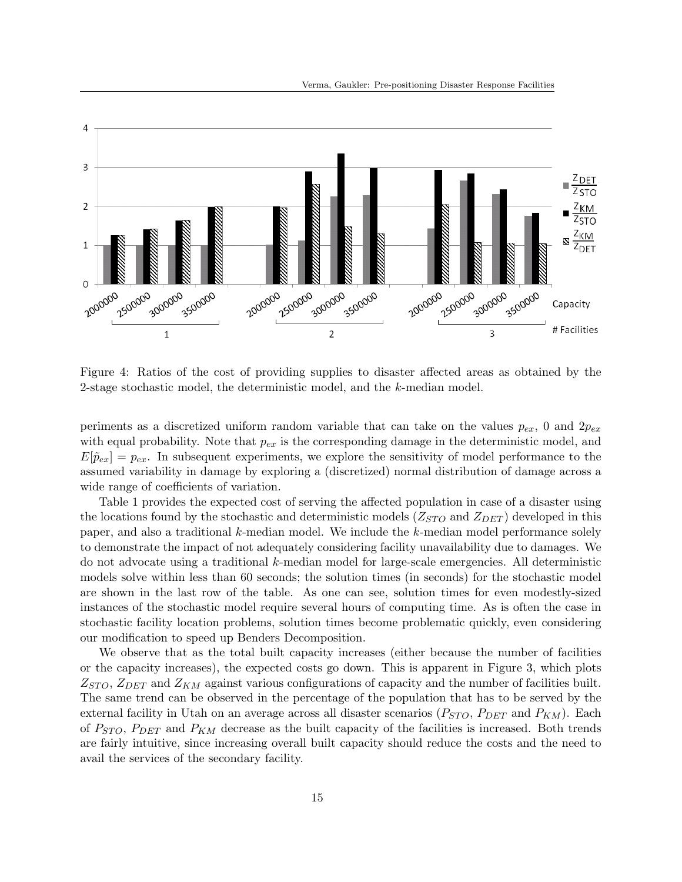

Figure 4: Ratios of the cost of providing supplies to disaster affected areas as obtained by the 2-stage stochastic model, the deterministic model, and the k-median model.

periments as a discretized uniform random variable that can take on the values  $p_{ex}$ , 0 and  $2p_{ex}$ with equal probability. Note that  $p_{ex}$  is the corresponding damage in the deterministic model, and  $E[\tilde{p}_{ex}] = p_{ex}$ . In subsequent experiments, we explore the sensitivity of model performance to the assumed variability in damage by exploring a (discretized) normal distribution of damage across a wide range of coefficients of variation.

Table 1 provides the expected cost of serving the affected population in case of a disaster using the locations found by the stochastic and deterministic models ( $Z_{STO}$  and  $Z_{DET}$ ) developed in this paper, and also a traditional k-median model. We include the k-median model performance solely to demonstrate the impact of not adequately considering facility unavailability due to damages. We do not advocate using a traditional k-median model for large-scale emergencies. All deterministic models solve within less than 60 seconds; the solution times (in seconds) for the stochastic model are shown in the last row of the table. As one can see, solution times for even modestly-sized instances of the stochastic model require several hours of computing time. As is often the case in stochastic facility location problems, solution times become problematic quickly, even considering our modification to speed up Benders Decomposition.

We observe that as the total built capacity increases (either because the number of facilities or the capacity increases), the expected costs go down. This is apparent in Figure 3, which plots  $Z_{STO}$ ,  $Z_{DET}$  and  $Z_{KM}$  against various configurations of capacity and the number of facilities built. The same trend can be observed in the percentage of the population that has to be served by the external facility in Utah on an average across all disaster scenarios  $(P<sub>STO</sub>, P<sub>DET</sub>$  and  $P<sub>KM</sub>$ ). Each of  $P_{STO}$ ,  $P_{DET}$  and  $P_{KM}$  decrease as the built capacity of the facilities is increased. Both trends are fairly intuitive, since increasing overall built capacity should reduce the costs and the need to avail the services of the secondary facility.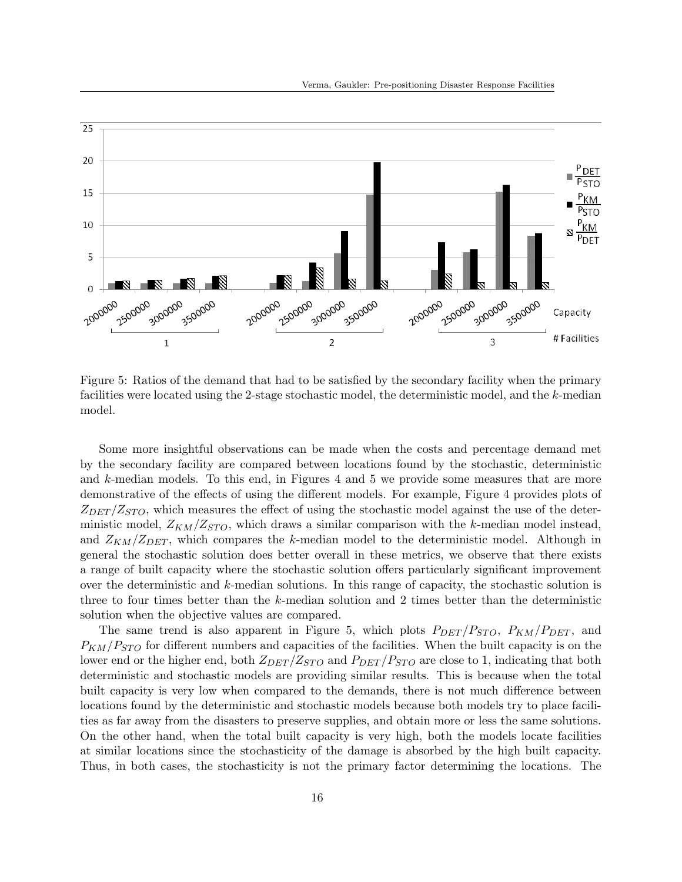

Figure 5: Ratios of the demand that had to be satisfied by the secondary facility when the primary facilities were located using the 2-stage stochastic model, the deterministic model, and the k-median model.

Some more insightful observations can be made when the costs and percentage demand met by the secondary facility are compared between locations found by the stochastic, deterministic and k-median models. To this end, in Figures 4 and 5 we provide some measures that are more demonstrative of the effects of using the different models. For example, Figure 4 provides plots of  $Z_{DET}/Z_{STO}$ , which measures the effect of using the stochastic model against the use of the deterministic model,  $Z_{KM}/Z_{STO}$ , which draws a similar comparison with the k-median model instead, and  $Z_{KM}/Z_{DET}$ , which compares the k-median model to the deterministic model. Although in general the stochastic solution does better overall in these metrics, we observe that there exists a range of built capacity where the stochastic solution offers particularly significant improvement over the deterministic and  $k$ -median solutions. In this range of capacity, the stochastic solution is three to four times better than the k-median solution and 2 times better than the deterministic solution when the objective values are compared.

The same trend is also apparent in Figure 5, which plots  $P_{DET}/P_{STO}$ ,  $P_{KM}/P_{DET}$ , and  $P_{KM}/P_{STO}$  for different numbers and capacities of the facilities. When the built capacity is on the lower end or the higher end, both  $Z_{DET}/Z_{STO}$  and  $P_{DET}/P_{STO}$  are close to 1, indicating that both deterministic and stochastic models are providing similar results. This is because when the total built capacity is very low when compared to the demands, there is not much difference between locations found by the deterministic and stochastic models because both models try to place facilities as far away from the disasters to preserve supplies, and obtain more or less the same solutions. On the other hand, when the total built capacity is very high, both the models locate facilities at similar locations since the stochasticity of the damage is absorbed by the high built capacity. Thus, in both cases, the stochasticity is not the primary factor determining the locations. The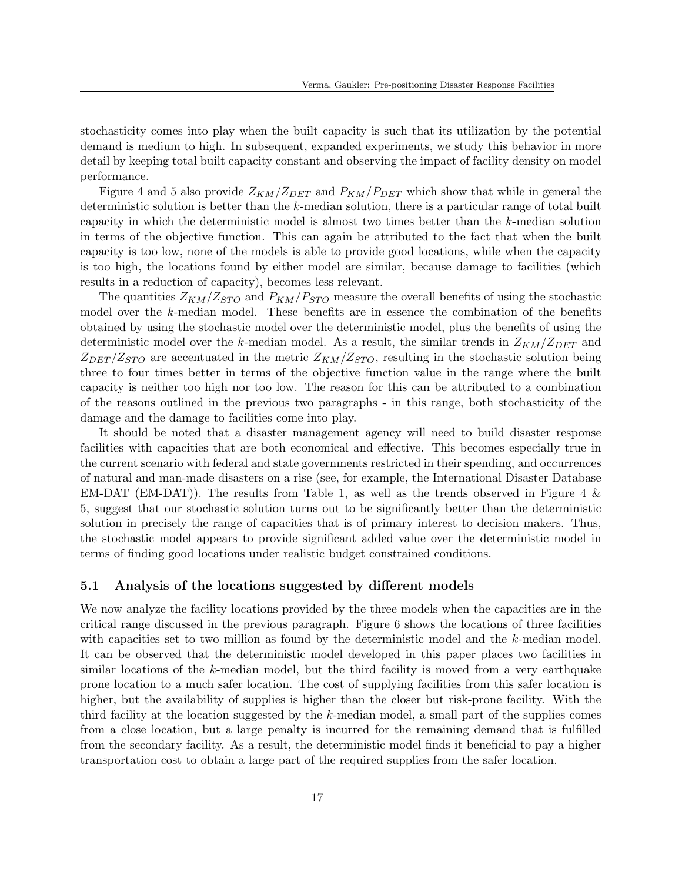stochasticity comes into play when the built capacity is such that its utilization by the potential demand is medium to high. In subsequent, expanded experiments, we study this behavior in more detail by keeping total built capacity constant and observing the impact of facility density on model performance.

Figure 4 and 5 also provide  $Z_{KM}/Z_{DET}$  and  $P_{KM}/P_{DET}$  which show that while in general the deterministic solution is better than the k-median solution, there is a particular range of total built capacity in which the deterministic model is almost two times better than the k-median solution in terms of the objective function. This can again be attributed to the fact that when the built capacity is too low, none of the models is able to provide good locations, while when the capacity is too high, the locations found by either model are similar, because damage to facilities (which results in a reduction of capacity), becomes less relevant.

The quantities  $Z_{KM}/Z_{STO}$  and  $P_{KM}/P_{STO}$  measure the overall benefits of using the stochastic model over the k-median model. These benefits are in essence the combination of the benefits obtained by using the stochastic model over the deterministic model, plus the benefits of using the deterministic model over the k-median model. As a result, the similar trends in  $Z_{KM}/Z_{DET}$  and  $Z_{DET}/Z_{STO}$  are accentuated in the metric  $Z_{KM}/Z_{STO}$ , resulting in the stochastic solution being three to four times better in terms of the objective function value in the range where the built capacity is neither too high nor too low. The reason for this can be attributed to a combination of the reasons outlined in the previous two paragraphs - in this range, both stochasticity of the damage and the damage to facilities come into play.

It should be noted that a disaster management agency will need to build disaster response facilities with capacities that are both economical and effective. This becomes especially true in the current scenario with federal and state governments restricted in their spending, and occurrences of natural and man-made disasters on a rise (see, for example, the International Disaster Database EM-DAT (EM-DAT)). The results from Table 1, as well as the trends observed in Figure 4  $\&$ 5, suggest that our stochastic solution turns out to be significantly better than the deterministic solution in precisely the range of capacities that is of primary interest to decision makers. Thus, the stochastic model appears to provide significant added value over the deterministic model in terms of finding good locations under realistic budget constrained conditions.

### 5.1 Analysis of the locations suggested by different models

We now analyze the facility locations provided by the three models when the capacities are in the critical range discussed in the previous paragraph. Figure 6 shows the locations of three facilities with capacities set to two million as found by the deterministic model and the k-median model. It can be observed that the deterministic model developed in this paper places two facilities in similar locations of the k-median model, but the third facility is moved from a very earthquake prone location to a much safer location. The cost of supplying facilities from this safer location is higher, but the availability of supplies is higher than the closer but risk-prone facility. With the third facility at the location suggested by the  $k$ -median model, a small part of the supplies comes from a close location, but a large penalty is incurred for the remaining demand that is fulfilled from the secondary facility. As a result, the deterministic model finds it beneficial to pay a higher transportation cost to obtain a large part of the required supplies from the safer location.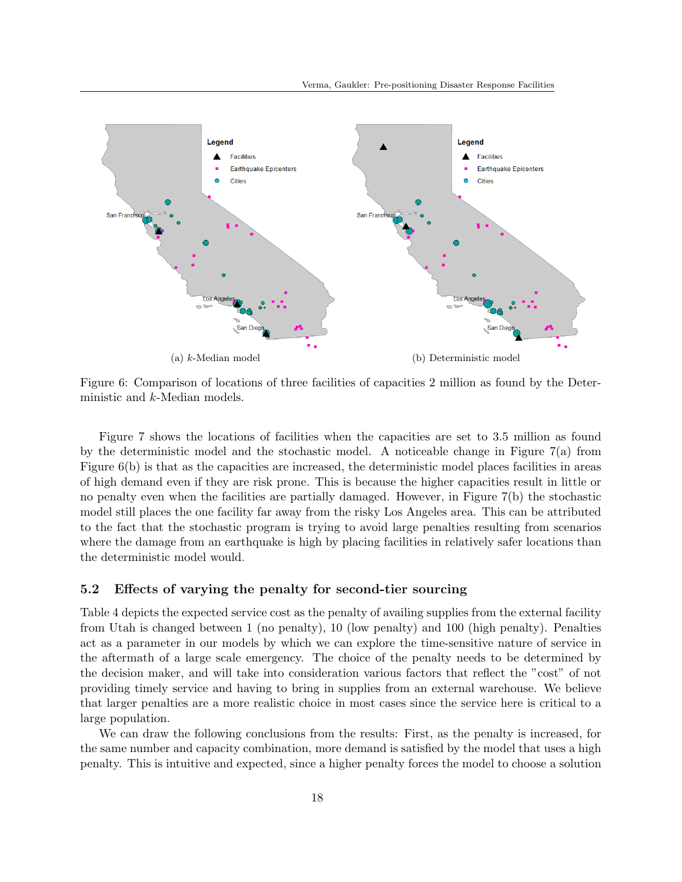

Figure 6: Comparison of locations of three facilities of capacities 2 million as found by the Deterministic and k-Median models.

Figure 7 shows the locations of facilities when the capacities are set to 3.5 million as found by the deterministic model and the stochastic model. A noticeable change in Figure  $7(a)$  from Figure 6(b) is that as the capacities are increased, the deterministic model places facilities in areas of high demand even if they are risk prone. This is because the higher capacities result in little or no penalty even when the facilities are partially damaged. However, in Figure 7(b) the stochastic model still places the one facility far away from the risky Los Angeles area. This can be attributed to the fact that the stochastic program is trying to avoid large penalties resulting from scenarios where the damage from an earthquake is high by placing facilities in relatively safer locations than the deterministic model would.

#### 5.2 Effects of varying the penalty for second-tier sourcing

Table 4 depicts the expected service cost as the penalty of availing supplies from the external facility from Utah is changed between 1 (no penalty), 10 (low penalty) and 100 (high penalty). Penalties act as a parameter in our models by which we can explore the time-sensitive nature of service in the aftermath of a large scale emergency. The choice of the penalty needs to be determined by the decision maker, and will take into consideration various factors that reflect the "cost" of not providing timely service and having to bring in supplies from an external warehouse. We believe that larger penalties are a more realistic choice in most cases since the service here is critical to a large population.

We can draw the following conclusions from the results: First, as the penalty is increased, for the same number and capacity combination, more demand is satisfied by the model that uses a high penalty. This is intuitive and expected, since a higher penalty forces the model to choose a solution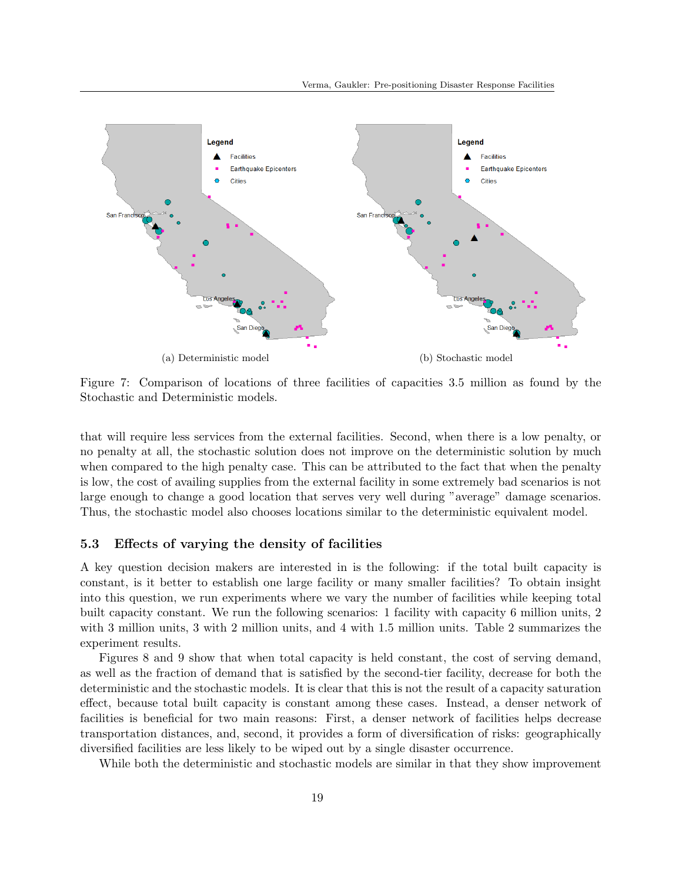

Figure 7: Comparison of locations of three facilities of capacities 3.5 million as found by the Stochastic and Deterministic models.

that will require less services from the external facilities. Second, when there is a low penalty, or no penalty at all, the stochastic solution does not improve on the deterministic solution by much when compared to the high penalty case. This can be attributed to the fact that when the penalty is low, the cost of availing supplies from the external facility in some extremely bad scenarios is not large enough to change a good location that serves very well during "average" damage scenarios. Thus, the stochastic model also chooses locations similar to the deterministic equivalent model.

### 5.3 Effects of varying the density of facilities

A key question decision makers are interested in is the following: if the total built capacity is constant, is it better to establish one large facility or many smaller facilities? To obtain insight into this question, we run experiments where we vary the number of facilities while keeping total built capacity constant. We run the following scenarios: 1 facility with capacity 6 million units, 2 with 3 million units, 3 with 2 million units, and 4 with 1.5 million units. Table 2 summarizes the experiment results.

Figures 8 and 9 show that when total capacity is held constant, the cost of serving demand, as well as the fraction of demand that is satisfied by the second-tier facility, decrease for both the deterministic and the stochastic models. It is clear that this is not the result of a capacity saturation effect, because total built capacity is constant among these cases. Instead, a denser network of facilities is beneficial for two main reasons: First, a denser network of facilities helps decrease transportation distances, and, second, it provides a form of diversification of risks: geographically diversified facilities are less likely to be wiped out by a single disaster occurrence.

While both the deterministic and stochastic models are similar in that they show improvement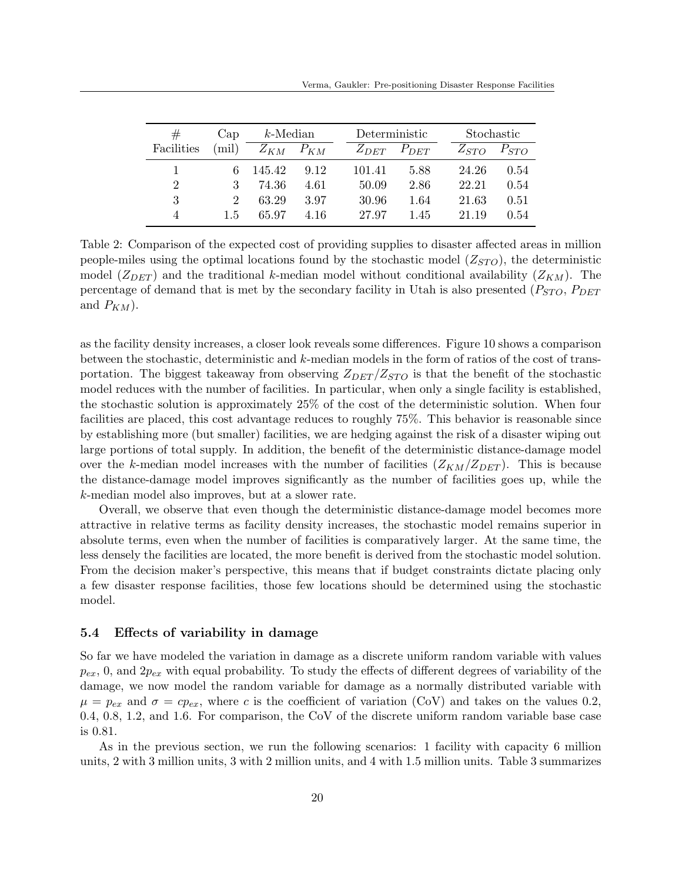| #              | Cap   | $k$ -Median |          | Deterministic |           | Stochastic |           |
|----------------|-------|-------------|----------|---------------|-----------|------------|-----------|
| Facilities     | (mil) | $Z_{KM}$    | $P_{KM}$ | $Z_{DET}$     | $P_{DET}$ | $Z_{STO}$  | $P_{STO}$ |
|                |       | 145.42      | 9.12     | 101.41        | 5.88      | 24.26      | 0.54      |
| $\overline{2}$ | З     | 74.36       | 4.61     | 50.09         | 2.86      | 22.21      | 0.54      |
| 3              | 2     | 63.29       | 3.97     | 30.96         | 1.64      | 21.63      | 0.51      |
|                | 1.5   | 65.97       | 4.16     | 27.97         | 1.45      | 21.19      | 0.54      |

Table 2: Comparison of the expected cost of providing supplies to disaster affected areas in million people-miles using the optimal locations found by the stochastic model  $(Z_{STO})$ , the deterministic model  $(Z_{DET})$  and the traditional k-median model without conditional availability  $(Z_{KM})$ . The percentage of demand that is met by the secondary facility in Utah is also presented  $(P_{STO}, P_{DET})$ and  $P_{KM}$ ).

as the facility density increases, a closer look reveals some differences. Figure 10 shows a comparison between the stochastic, deterministic and k-median models in the form of ratios of the cost of transportation. The biggest takeaway from observing  $Z_{DET}/Z_{STO}$  is that the benefit of the stochastic model reduces with the number of facilities. In particular, when only a single facility is established, the stochastic solution is approximately 25% of the cost of the deterministic solution. When four facilities are placed, this cost advantage reduces to roughly 75%. This behavior is reasonable since by establishing more (but smaller) facilities, we are hedging against the risk of a disaster wiping out large portions of total supply. In addition, the benefit of the deterministic distance-damage model over the k-median model increases with the number of facilities  $(Z_{KM}/Z_{DET})$ . This is because the distance-damage model improves significantly as the number of facilities goes up, while the k-median model also improves, but at a slower rate.

Overall, we observe that even though the deterministic distance-damage model becomes more attractive in relative terms as facility density increases, the stochastic model remains superior in absolute terms, even when the number of facilities is comparatively larger. At the same time, the less densely the facilities are located, the more benefit is derived from the stochastic model solution. From the decision maker's perspective, this means that if budget constraints dictate placing only a few disaster response facilities, those few locations should be determined using the stochastic model.

### 5.4 Effects of variability in damage

So far we have modeled the variation in damage as a discrete uniform random variable with values  $p_{ex}$ , 0, and  $2p_{ex}$  with equal probability. To study the effects of different degrees of variability of the damage, we now model the random variable for damage as a normally distributed variable with  $\mu = p_{ex}$  and  $\sigma = cp_{ex}$ , where c is the coefficient of variation (CoV) and takes on the values 0.2, 0.4, 0.8, 1.2, and 1.6. For comparison, the CoV of the discrete uniform random variable base case is 0.81.

As in the previous section, we run the following scenarios: 1 facility with capacity 6 million units, 2 with 3 million units, 3 with 2 million units, and 4 with 1.5 million units. Table 3 summarizes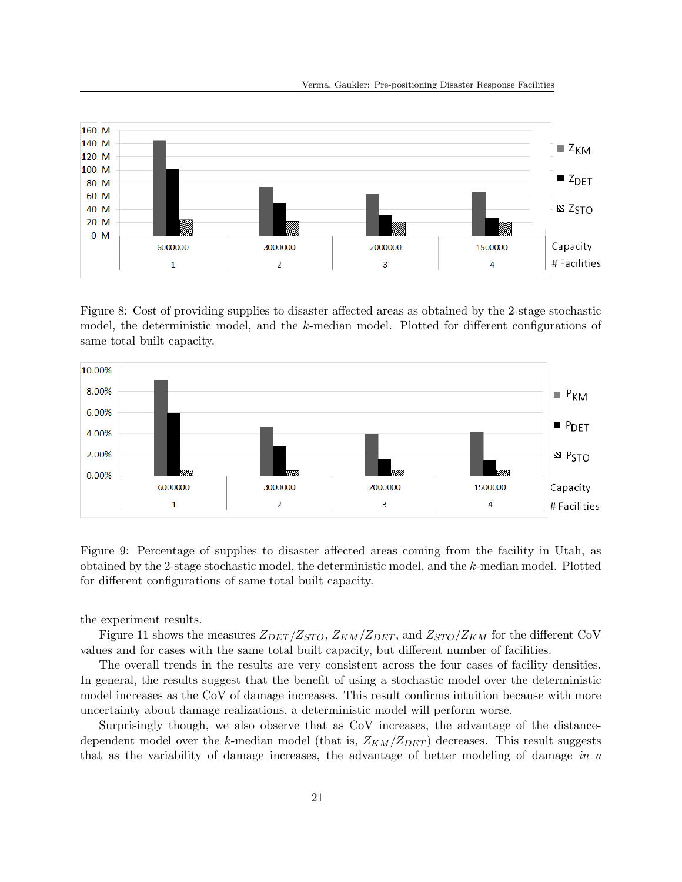Verma, Gaukler: Pre-positioning Disaster Response Facilities



Figure 8: Cost of providing supplies to disaster affected areas as obtained by the 2-stage stochastic model, the deterministic model, and the k-median model. Plotted for different configurations of same total built capacity.



Figure 9: Percentage of supplies to disaster affected areas coming from the facility in Utah, as obtained by the 2-stage stochastic model, the deterministic model, and the k-median model. Plotted for different configurations of same total built capacity.

the experiment results.

Figure 11 shows the measures  $Z_{DET}/Z_{STO}$ ,  $Z_{KM}/Z_{DET}$ , and  $Z_{STO}/Z_{KM}$  for the different CoV values and for cases with the same total built capacity, but different number of facilities.

The overall trends in the results are very consistent across the four cases of facility densities. In general, the results suggest that the benefit of using a stochastic model over the deterministic model increases as the CoV of damage increases. This result confirms intuition because with more uncertainty about damage realizations, a deterministic model will perform worse.

Surprisingly though, we also observe that as CoV increases, the advantage of the distancedependent model over the k-median model (that is,  $Z_{KM}/Z_{DET}$ ) decreases. This result suggests that as the variability of damage increases, the advantage of better modeling of damage in a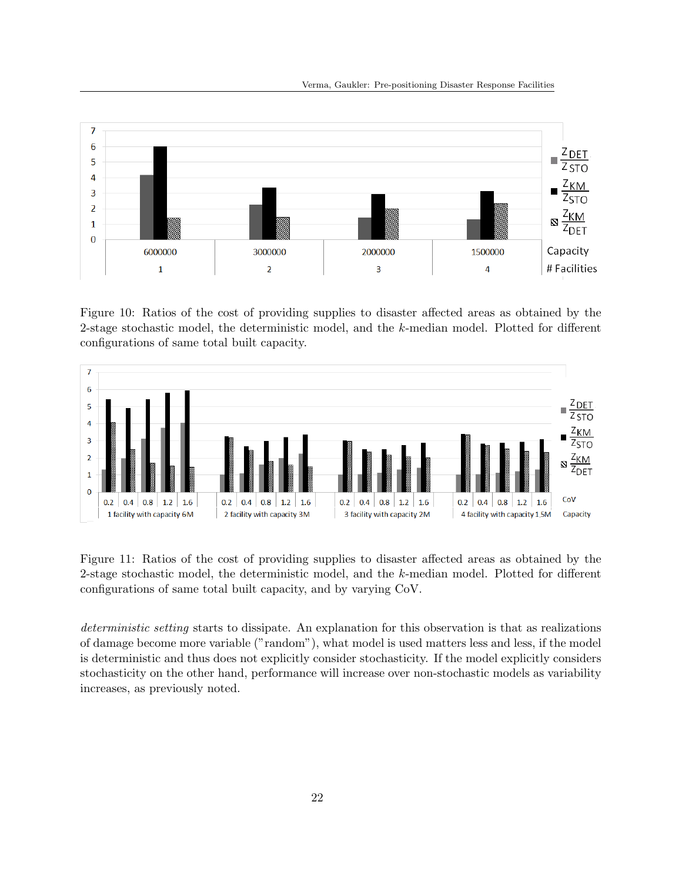Verma, Gaukler: Pre-positioning Disaster Response Facilities



Figure 10: Ratios of the cost of providing supplies to disaster affected areas as obtained by the 2-stage stochastic model, the deterministic model, and the k-median model. Plotted for different configurations of same total built capacity.



Figure 11: Ratios of the cost of providing supplies to disaster affected areas as obtained by the 2-stage stochastic model, the deterministic model, and the k-median model. Plotted for different configurations of same total built capacity, and by varying CoV.

deterministic setting starts to dissipate. An explanation for this observation is that as realizations of damage become more variable ("random"), what model is used matters less and less, if the model is deterministic and thus does not explicitly consider stochasticity. If the model explicitly considers stochasticity on the other hand, performance will increase over non-stochastic models as variability increases, as previously noted.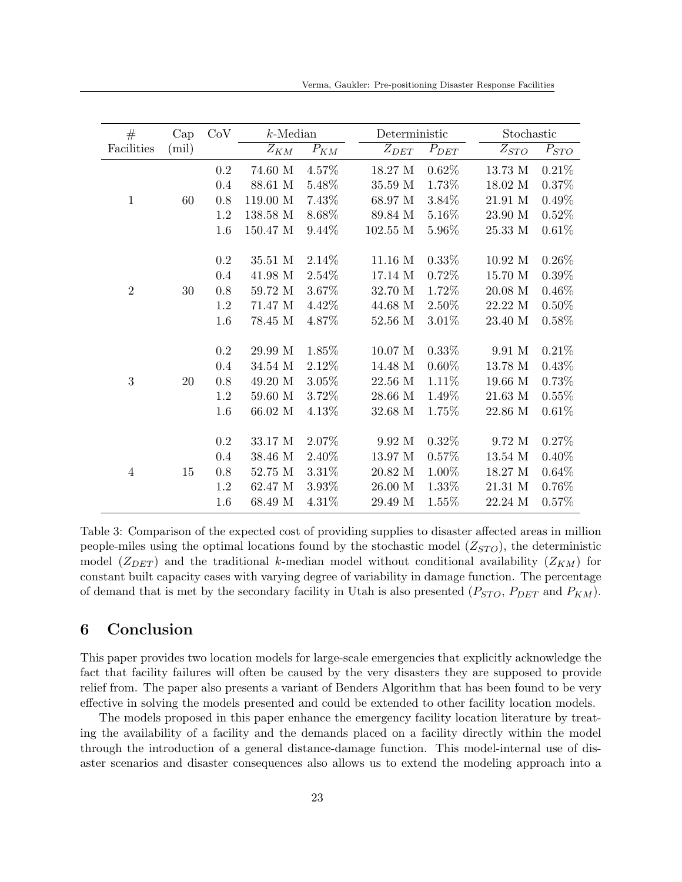| #              | Cap    | CoV       | $k$ -Median         |          | Deterministic       |           |                     | Stochastic          |  |
|----------------|--------|-----------|---------------------|----------|---------------------|-----------|---------------------|---------------------|--|
| Facilities     | (mil)  |           | $Z_{KM}$            | $P_{KM}$ | $Z_{DET}$           | $P_{DET}$ | $Z_{STO}$           | $\mathcal{P}_{STO}$ |  |
|                |        | $\rm 0.2$ | 74.60 M             | 4.57%    | 18.27 M             | $0.62\%$  | $13.73~\mathrm{M}$  | 0.21%               |  |
|                |        | 0.4       | $88.61~\mathrm{M}$  | 5.48%    | $35.59~\mathrm{M}$  | 1.73%     | 18.02 M             | 0.37%               |  |
| $\mathbf{1}$   | 60     | 0.8       | 119.00 M            | 7.43%    | 68.97 M             | 3.84%     | $21.91~\mathrm{M}$  | 0.49%               |  |
|                |        | 1.2       | 138.58 M            | 8.68%    | 89.84 M             | 5.16%     | 23.90 M             | 0.52%               |  |
|                |        | 1.6       | $150.47~\mathrm{M}$ | 9.44%    | $102.55~\mathrm{M}$ | 5.96%     | $25.33~\mathrm{M}$  | 0.61%               |  |
|                |        |           |                     |          |                     |           |                     |                     |  |
|                |        | $0.2\,$   | 35.51 M             | 2.14%    | $11.16\ \mathrm{M}$ | 0.33%     | $10.92\ \mathrm{M}$ | 0.26%               |  |
|                |        | $0.4\,$   | $41.98~\mathrm{M}$  | 2.54%    | 17.14 M             | 0.72%     | $15.70~\mathrm{M}$  | $0.39\%$            |  |
| $\overline{2}$ | $30\,$ | $0.8\,$   | 59.72 M             | 3.67%    | 32.70 M             | 1.72%     | $20.08~\mathrm{M}$  | 0.46%               |  |
|                |        | 1.2       | 71.47 M             | 4.42%    | 44.68 M             | 2.50%     | 22.22 M             | 0.50%               |  |
|                |        | $1.6\,$   | 78.45 M             | 4.87%    | $52.56~\mathrm{M}$  | 3.01%     | $23.40\ \mathrm{M}$ | 0.58%               |  |
|                |        |           |                     |          |                     |           |                     |                     |  |
|                |        | $\rm 0.2$ | 29.99 M             | 1.85%    | $10.07~\mathrm{M}$  | 0.33%     | $9.91~\mathrm{M}$   | 0.21%               |  |
|                |        | 0.4       | 34.54 M             | 2.12%    | 14.48 M             | $0.60\%$  | $13.78~\mathrm{M}$  | 0.43%               |  |
| 3              | 20     | 0.8       | 49.20 M             | 3.05%    | $22.56\,$ M         | 1.11%     | $19.66\ \mathrm{M}$ | 0.73%               |  |
|                |        | $1.2\,$   | $59.60~\mathrm{M}$  | 3.72%    | $28.66~\mathrm{M}$  | 1.49%     | $21.63~\mathrm{M}$  | 0.55%               |  |
|                |        | $1.6\,$   | 66.02 M             | 4.13%    | $32.68~\mathrm{M}$  | 1.75%     | $22.86~\mathrm{M}$  | 0.61%               |  |
|                |        | $0.2\,$   | 33.17 M             | 2.07%    | 9.92 M              | $0.32\%$  | 9.72 M              | 0.27%               |  |
|                |        | 0.4       | $38.46~\mathrm{M}$  | 2.40%    | 13.97 M             | 0.57%     | 13.54 M             | 0.40%               |  |
| $\overline{4}$ | $15\,$ | 0.8       | $52.75~\mathrm{M}$  | 3.31%    | $20.82~\mathrm{M}$  | 1.00%     | $18.27~\mathrm{M}$  | 0.64%               |  |
|                |        |           |                     |          |                     |           |                     |                     |  |
|                |        | 1.2       | $62.47~\mathrm{M}$  | 3.93%    | 26.00 M             | 1.33%     | 21.31 M             | 0.76%               |  |
|                |        | 1.6       | 68.49 M             | 4.31%    | $29.49~\mathrm{M}$  | 1.55%     | 22.24 M             | 0.57%               |  |

Table 3: Comparison of the expected cost of providing supplies to disaster affected areas in million people-miles using the optimal locations found by the stochastic model  $(Z<sub>STO</sub>)$ , the deterministic model  $(Z_{DET})$  and the traditional k-median model without conditional availability  $(Z_{KM})$  for constant built capacity cases with varying degree of variability in damage function. The percentage of demand that is met by the secondary facility in Utah is also presented  $(P<sub>STO</sub>, P<sub>DET</sub>$  and  $P<sub>KM</sub>$ ).

# 6 Conclusion

This paper provides two location models for large-scale emergencies that explicitly acknowledge the fact that facility failures will often be caused by the very disasters they are supposed to provide relief from. The paper also presents a variant of Benders Algorithm that has been found to be very effective in solving the models presented and could be extended to other facility location models.

The models proposed in this paper enhance the emergency facility location literature by treating the availability of a facility and the demands placed on a facility directly within the model through the introduction of a general distance-damage function. This model-internal use of disaster scenarios and disaster consequences also allows us to extend the modeling approach into a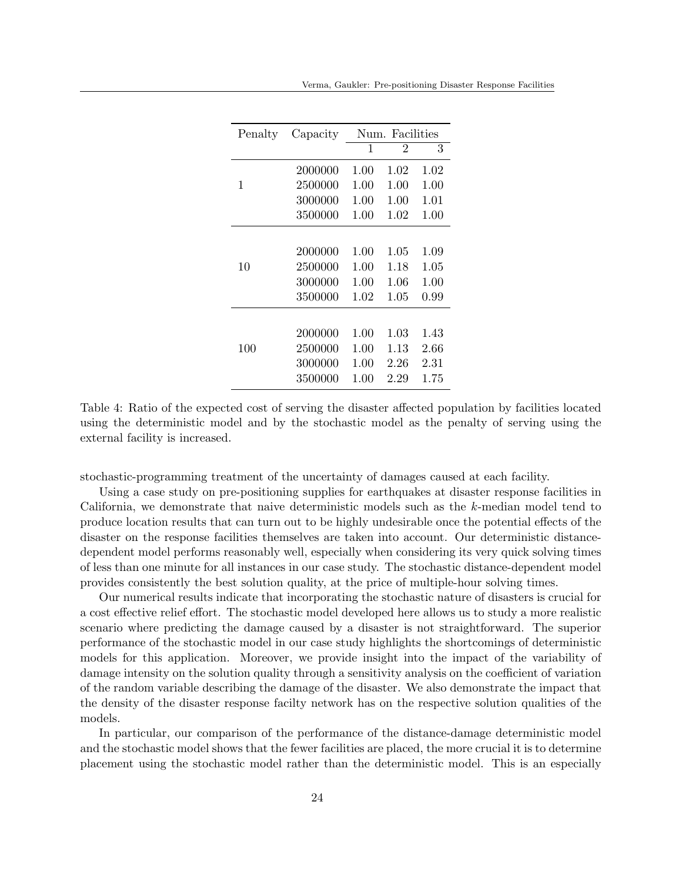| Penalty | Capacity |      | Num. Facilities |          |  |  |  |
|---------|----------|------|-----------------|----------|--|--|--|
|         |          | 1    | $\overline{2}$  | 3        |  |  |  |
|         | 2000000  | 1.00 | 1.02            | 1.02     |  |  |  |
| 1       | 2500000  | 1.00 | 1.00            | 1.00     |  |  |  |
|         | 3000000  | 1.00 | 1.00            | 1.01     |  |  |  |
|         | 3500000  | 1.00 | 1.02            | 1.00     |  |  |  |
|         |          |      |                 |          |  |  |  |
|         | 2000000  | 1.00 | 1.05            | 1.09     |  |  |  |
| 10      | 2500000  | 1.00 | 1.18            | $1.05\,$ |  |  |  |
|         | 3000000  | 1.00 | 1.06            | 1.00     |  |  |  |
|         | 3500000  | 1.02 | 1.05            | ${0.99}$ |  |  |  |
|         |          |      |                 |          |  |  |  |
|         | 2000000  | 1.00 | 1.03            | 1.43     |  |  |  |
| 100     | 2500000  | 1.00 | 1.13            | 2.66     |  |  |  |
|         | 3000000  | 1.00 | 2.26            | $2.31\,$ |  |  |  |
|         | 3500000  | 1.00 | 2.29            | 1.75     |  |  |  |

Table 4: Ratio of the expected cost of serving the disaster affected population by facilities located using the deterministic model and by the stochastic model as the penalty of serving using the external facility is increased.

stochastic-programming treatment of the uncertainty of damages caused at each facility.

Using a case study on pre-positioning supplies for earthquakes at disaster response facilities in California, we demonstrate that naive deterministic models such as the k-median model tend to produce location results that can turn out to be highly undesirable once the potential effects of the disaster on the response facilities themselves are taken into account. Our deterministic distancedependent model performs reasonably well, especially when considering its very quick solving times of less than one minute for all instances in our case study. The stochastic distance-dependent model provides consistently the best solution quality, at the price of multiple-hour solving times.

Our numerical results indicate that incorporating the stochastic nature of disasters is crucial for a cost effective relief effort. The stochastic model developed here allows us to study a more realistic scenario where predicting the damage caused by a disaster is not straightforward. The superior performance of the stochastic model in our case study highlights the shortcomings of deterministic models for this application. Moreover, we provide insight into the impact of the variability of damage intensity on the solution quality through a sensitivity analysis on the coefficient of variation of the random variable describing the damage of the disaster. We also demonstrate the impact that the density of the disaster response facilty network has on the respective solution qualities of the models.

In particular, our comparison of the performance of the distance-damage deterministic model and the stochastic model shows that the fewer facilities are placed, the more crucial it is to determine placement using the stochastic model rather than the deterministic model. This is an especially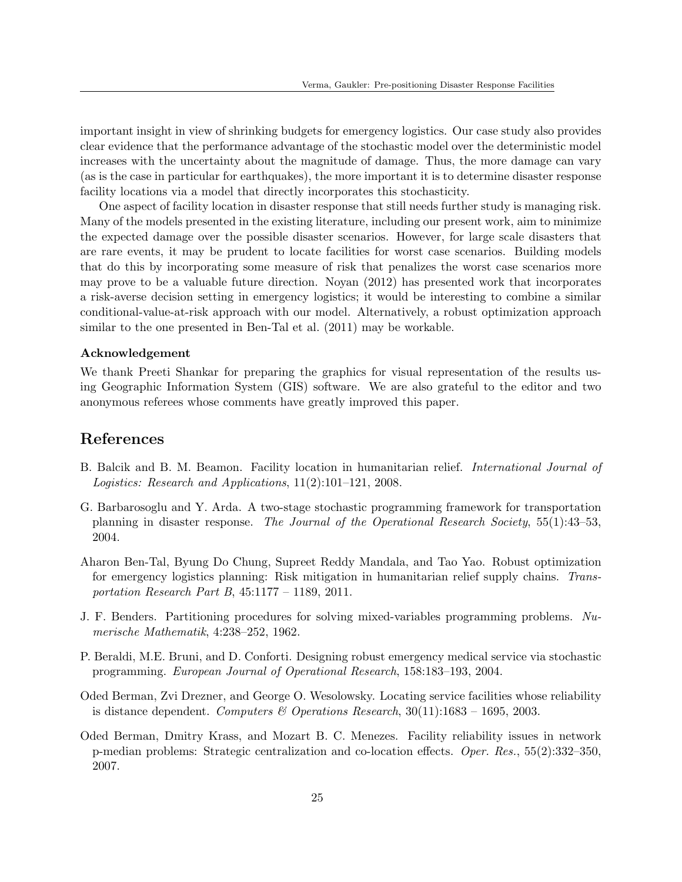important insight in view of shrinking budgets for emergency logistics. Our case study also provides clear evidence that the performance advantage of the stochastic model over the deterministic model increases with the uncertainty about the magnitude of damage. Thus, the more damage can vary (as is the case in particular for earthquakes), the more important it is to determine disaster response facility locations via a model that directly incorporates this stochasticity.

One aspect of facility location in disaster response that still needs further study is managing risk. Many of the models presented in the existing literature, including our present work, aim to minimize the expected damage over the possible disaster scenarios. However, for large scale disasters that are rare events, it may be prudent to locate facilities for worst case scenarios. Building models that do this by incorporating some measure of risk that penalizes the worst case scenarios more may prove to be a valuable future direction. Noyan (2012) has presented work that incorporates a risk-averse decision setting in emergency logistics; it would be interesting to combine a similar conditional-value-at-risk approach with our model. Alternatively, a robust optimization approach similar to the one presented in Ben-Tal et al. (2011) may be workable.

### Acknowledgement

We thank Preeti Shankar for preparing the graphics for visual representation of the results using Geographic Information System (GIS) software. We are also grateful to the editor and two anonymous referees whose comments have greatly improved this paper.

### References

- B. Balcik and B. M. Beamon. Facility location in humanitarian relief. International Journal of Logistics: Research and Applications, 11(2):101–121, 2008.
- G. Barbarosoglu and Y. Arda. A two-stage stochastic programming framework for transportation planning in disaster response. The Journal of the Operational Research Society, 55(1):43–53, 2004.
- Aharon Ben-Tal, Byung Do Chung, Supreet Reddy Mandala, and Tao Yao. Robust optimization for emergency logistics planning: Risk mitigation in humanitarian relief supply chains. Transportation Research Part B, 45:1177 – 1189, 2011.
- J. F. Benders. Partitioning procedures for solving mixed-variables programming problems. Numerische Mathematik, 4:238–252, 1962.
- P. Beraldi, M.E. Bruni, and D. Conforti. Designing robust emergency medical service via stochastic programming. European Journal of Operational Research, 158:183–193, 2004.
- Oded Berman, Zvi Drezner, and George O. Wesolowsky. Locating service facilities whose reliability is distance dependent. Computers & Operations Research,  $30(11):1683 - 1695$ , 2003.
- Oded Berman, Dmitry Krass, and Mozart B. C. Menezes. Facility reliability issues in network p-median problems: Strategic centralization and co-location effects. Oper. Res., 55(2):332–350, 2007.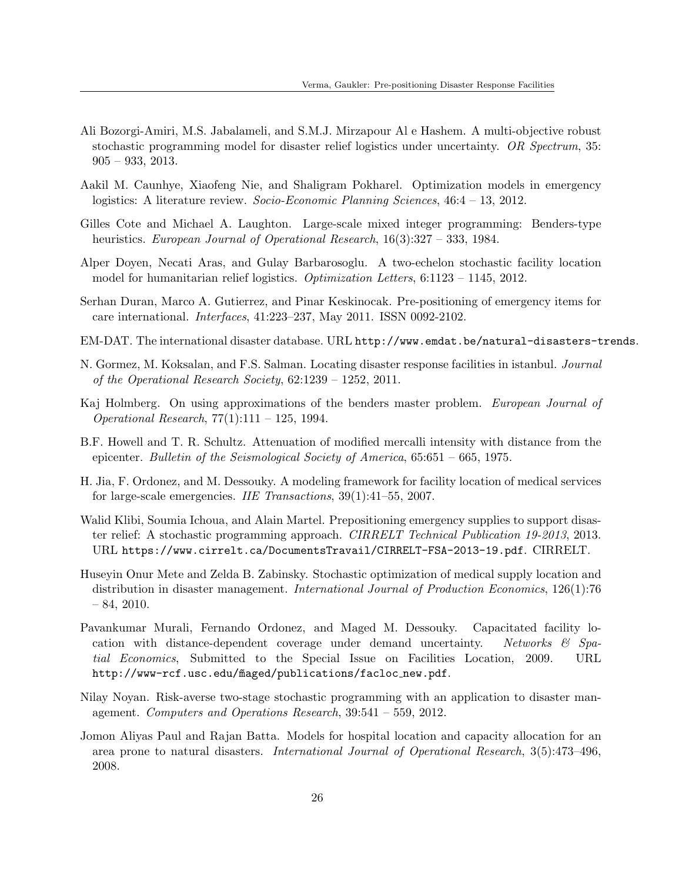- Ali Bozorgi-Amiri, M.S. Jabalameli, and S.M.J. Mirzapour Al e Hashem. A multi-objective robust stochastic programming model for disaster relief logistics under uncertainty. OR Spectrum, 35: 905 – 933, 2013.
- Aakil M. Caunhye, Xiaofeng Nie, and Shaligram Pokharel. Optimization models in emergency logistics: A literature review. Socio-Economic Planning Sciences, 46:4 – 13, 2012.
- Gilles Cote and Michael A. Laughton. Large-scale mixed integer programming: Benders-type heuristics. European Journal of Operational Research, 16(3):327 – 333, 1984.
- Alper Doyen, Necati Aras, and Gulay Barbarosoglu. A two-echelon stochastic facility location model for humanitarian relief logistics. Optimization Letters, 6:1123 – 1145, 2012.
- Serhan Duran, Marco A. Gutierrez, and Pinar Keskinocak. Pre-positioning of emergency items for care international. Interfaces, 41:223–237, May 2011. ISSN 0092-2102.
- EM-DAT. The international disaster database. URL http://www.emdat.be/natural-disasters-trends.
- N. Gormez, M. Koksalan, and F.S. Salman. Locating disaster response facilities in istanbul. Journal of the Operational Research Society, 62:1239 – 1252, 2011.
- Kaj Holmberg. On using approximations of the benders master problem. European Journal of Operational Research, 77(1):111 – 125, 1994.
- B.F. Howell and T. R. Schultz. Attenuation of modified mercalli intensity with distance from the epicenter. Bulletin of the Seismological Society of America,  $65:651 - 665$ , 1975.
- H. Jia, F. Ordonez, and M. Dessouky. A modeling framework for facility location of medical services for large-scale emergencies. IIE Transactions, 39(1):41–55, 2007.
- Walid Klibi, Soumia Ichoua, and Alain Martel. Prepositioning emergency supplies to support disaster relief: A stochastic programming approach. CIRRELT Technical Publication 19-2013, 2013. URL https://www.cirrelt.ca/DocumentsTravail/CIRRELT-FSA-2013-19.pdf. CIRRELT.
- Huseyin Onur Mete and Zelda B. Zabinsky. Stochastic optimization of medical supply location and distribution in disaster management. *International Journal of Production Economics*, 126(1):76  $-84, 2010.$
- Pavankumar Murali, Fernando Ordonez, and Maged M. Dessouky. Capacitated facility location with distance-dependent coverage under demand uncertainty. Networks  $\mathcal{C}$  Spatial Economics, Submitted to the Special Issue on Facilities Location, 2009. URL http://www-rcf.usc.edu/maged/publications/facloc\_new.pdf.
- Nilay Noyan. Risk-averse two-stage stochastic programming with an application to disaster management. Computers and Operations Research, 39:541 – 559, 2012.
- Jomon Aliyas Paul and Rajan Batta. Models for hospital location and capacity allocation for an area prone to natural disasters. International Journal of Operational Research, 3(5):473–496, 2008.